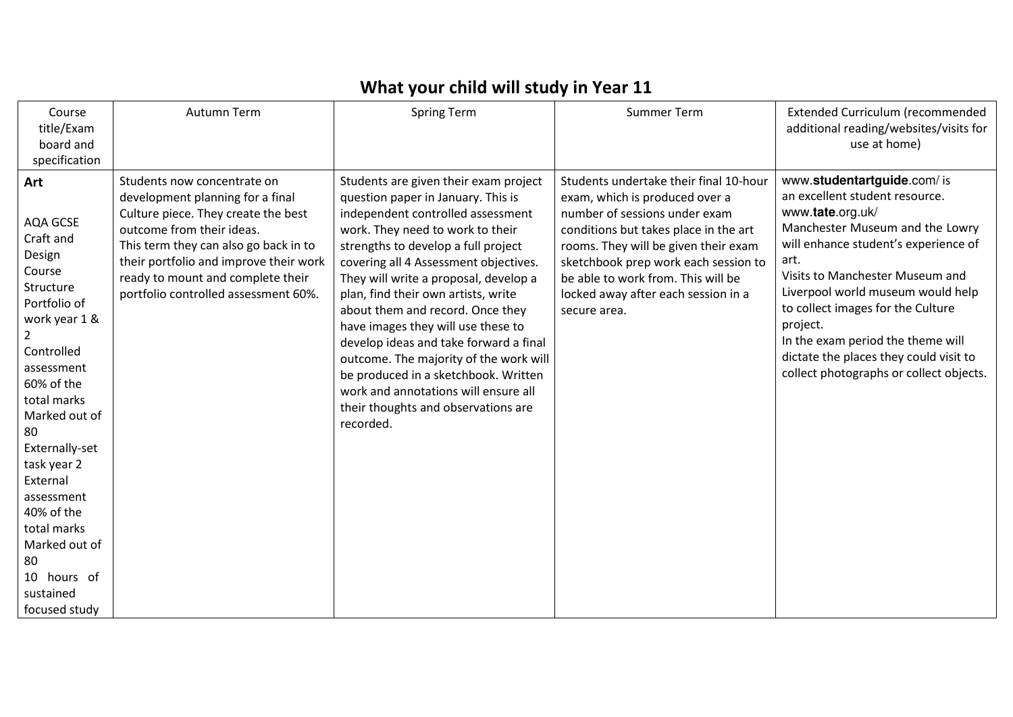## **What your child will study in Year 11**

| Course<br>title/Exam<br>board and<br>specification                                                                                                                                                                                                                                                                                                            | Autumn Term                                                                                                                                                                                                                                                                                         | <b>Spring Term</b>                                                                                                                                                                                                                                                                                                                                                                                                                                                                                                                                                                                                     | <b>Summer Term</b>                                                                                                                                                                                                                                                                                                              | Extended Curriculum (recommended<br>additional reading/websites/visits for<br>use at home)                                                                                                                                                                                                                                                                                                                             |
|---------------------------------------------------------------------------------------------------------------------------------------------------------------------------------------------------------------------------------------------------------------------------------------------------------------------------------------------------------------|-----------------------------------------------------------------------------------------------------------------------------------------------------------------------------------------------------------------------------------------------------------------------------------------------------|------------------------------------------------------------------------------------------------------------------------------------------------------------------------------------------------------------------------------------------------------------------------------------------------------------------------------------------------------------------------------------------------------------------------------------------------------------------------------------------------------------------------------------------------------------------------------------------------------------------------|---------------------------------------------------------------------------------------------------------------------------------------------------------------------------------------------------------------------------------------------------------------------------------------------------------------------------------|------------------------------------------------------------------------------------------------------------------------------------------------------------------------------------------------------------------------------------------------------------------------------------------------------------------------------------------------------------------------------------------------------------------------|
| Art<br>AQA GCSE<br>Craft and<br>Design<br>Course<br>Structure<br>Portfolio of<br>work year 1 &<br>$\overline{2}$<br>Controlled<br>assessment<br>60% of the<br>total marks<br>Marked out of<br>-80<br>Externally-set<br>task year 2<br>External<br>assessment<br>40% of the<br>total marks<br>Marked out of<br>80<br>10 hours of<br>sustained<br>focused study | Students now concentrate on<br>development planning for a final<br>Culture piece. They create the best<br>outcome from their ideas.<br>This term they can also go back in to<br>their portfolio and improve their work<br>ready to mount and complete their<br>portfolio controlled assessment 60%. | Students are given their exam project<br>question paper in January. This is<br>independent controlled assessment<br>work. They need to work to their<br>strengths to develop a full project<br>covering all 4 Assessment objectives.<br>They will write a proposal, develop a<br>plan, find their own artists, write<br>about them and record. Once they<br>have images they will use these to<br>develop ideas and take forward a final<br>outcome. The majority of the work will<br>be produced in a sketchbook. Written<br>work and annotations will ensure all<br>their thoughts and observations are<br>recorded. | Students undertake their final 10-hour<br>exam, which is produced over a<br>number of sessions under exam<br>conditions but takes place in the art<br>rooms. They will be given their exam<br>sketchbook prep work each session to<br>be able to work from. This will be<br>locked away after each session in a<br>secure area. | www.studentartguide.com/is<br>an excellent student resource.<br>www.tate.org.uk/<br>Manchester Museum and the Lowry<br>will enhance student's experience of<br>art.<br>Visits to Manchester Museum and<br>Liverpool world museum would help<br>to collect images for the Culture<br>project.<br>In the exam period the theme will<br>dictate the places they could visit to<br>collect photographs or collect objects. |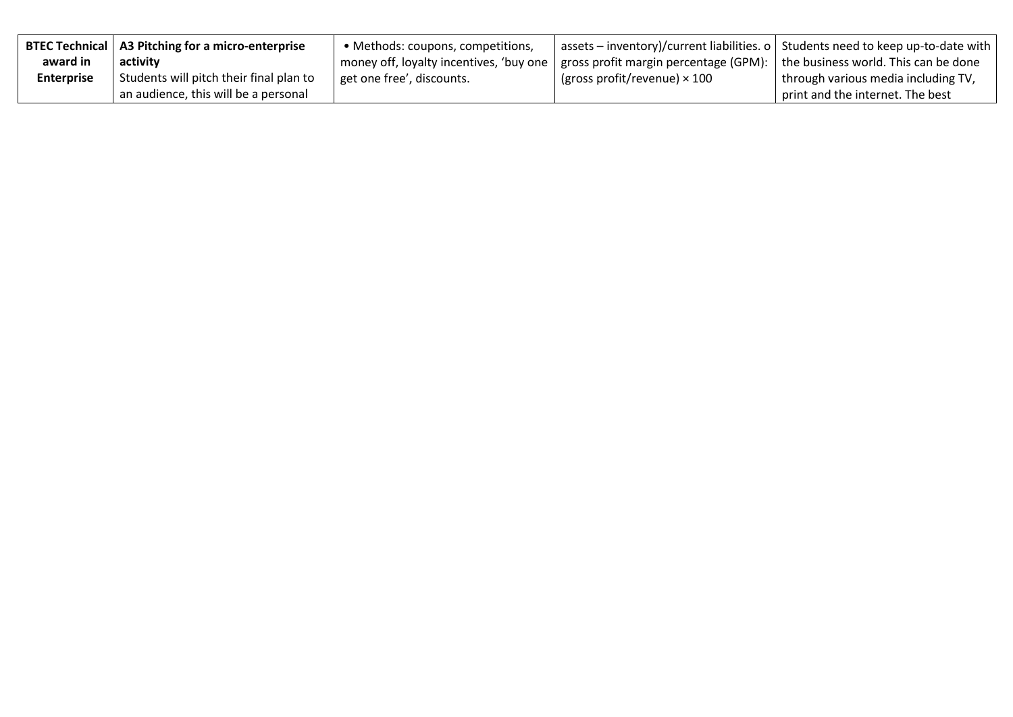|                   | <b>BTEC Technical   A3 Pitching for a micro-enterprise</b> | • Methods: coupons, competitions,                                               |                                     | assets – inventory)/current liabilities. o   Students need to keep up-to-date with |
|-------------------|------------------------------------------------------------|---------------------------------------------------------------------------------|-------------------------------------|------------------------------------------------------------------------------------|
| award in          | activity                                                   | money off, loyalty incentives, 'buy one   gross profit margin percentage (GPM): |                                     | the business world. This can be done                                               |
| <b>Enterprise</b> | Students will pitch their final plan to                    | get one free', discounts.                                                       | (gross profit/revenue) $\times$ 100 | through various media including TV,                                                |
|                   | an audience, this will be a personal                       |                                                                                 |                                     | print and the internet. The best                                                   |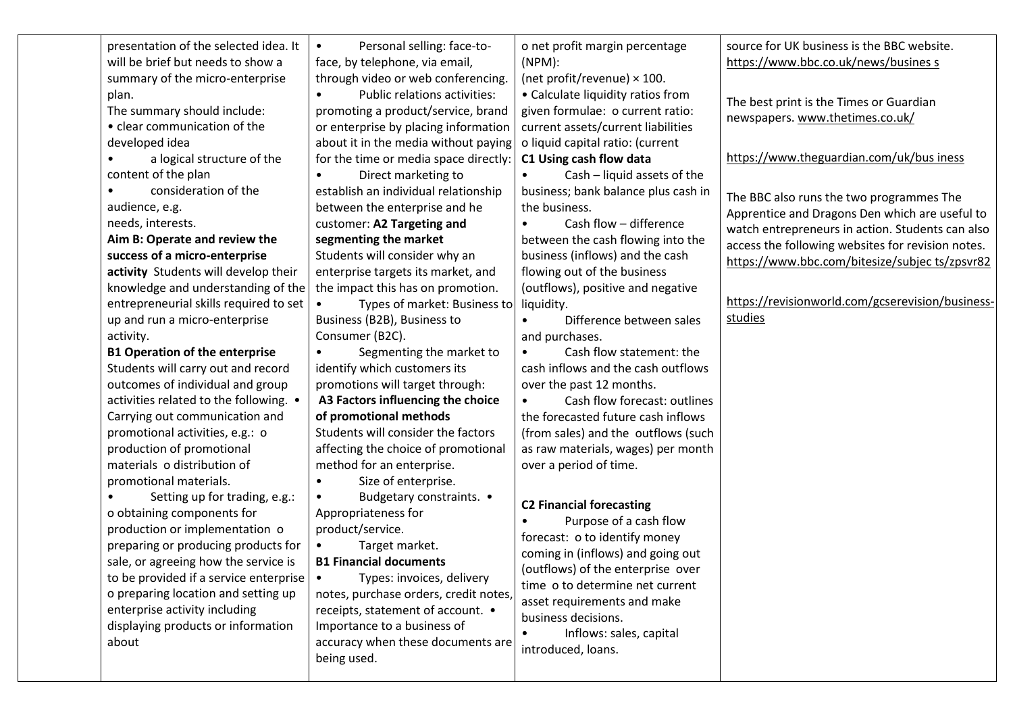| presentation of the selected idea. It<br>source for UK business is the BBC website.<br>Personal selling: face-to-<br>o net profit margin percentage<br>$\bullet$<br>will be brief but needs to show a<br>https://www.bbc.co.uk/news/busines s<br>face, by telephone, via email,<br>$(NPM)$ :<br>summary of the micro-enterprise<br>through video or web conferencing.<br>(net profit/revenue) $\times$ 100.<br>Public relations activities:<br>• Calculate liquidity ratios from<br>plan.<br>$\bullet$<br>The best print is the Times or Guardian<br>The summary should include:<br>promoting a product/service, brand<br>given formulae: o current ratio:<br>newspapers. www.thetimes.co.uk/<br>• clear communication of the<br>or enterprise by placing information<br>current assets/current liabilities<br>about it in the media without paying<br>o liquid capital ratio: (current<br>developed idea<br>https://www.theguardian.com/uk/bus iness<br>a logical structure of the<br>for the time or media space directly:<br>C1 Using cash flow data<br>content of the plan<br>Cash - liquid assets of the<br>Direct marketing to<br>$\bullet$<br>consideration of the<br>establish an individual relationship<br>business; bank balance plus cash in<br>$\bullet$<br>The BBC also runs the two programmes The<br>between the enterprise and he<br>audience, e.g.<br>the business.<br>Apprentice and Dragons Den which are useful to<br>Cash flow - difference<br>needs, interests.<br>customer: A2 Targeting and<br>watch entrepreneurs in action. Students can also<br>Aim B: Operate and review the<br>segmenting the market<br>between the cash flowing into the<br>access the following websites for revision notes.<br>success of a micro-enterprise<br>Students will consider why an<br>business (inflows) and the cash<br>activity Students will develop their<br>enterprise targets its market, and<br>flowing out of the business<br>knowledge and understanding of the<br>the impact this has on promotion.<br>(outflows), positive and negative<br>entrepreneurial skills required to set<br>Types of market: Business to<br>liquidity.<br>studies<br>up and run a micro-enterprise<br>Business (B2B), Business to<br>Difference between sales<br>Consumer (B2C).<br>activity.<br>and purchases.<br>Cash flow statement: the<br><b>B1 Operation of the enterprise</b><br>Segmenting the market to<br>identify which customers its<br>Students will carry out and record<br>cash inflows and the cash outflows<br>outcomes of individual and group<br>promotions will target through:<br>over the past 12 months.<br>Cash flow forecast: outlines<br>activities related to the following. .<br>A3 Factors influencing the choice<br>of promotional methods<br>the forecasted future cash inflows<br>Carrying out communication and<br>Students will consider the factors<br>promotional activities, e.g.: o<br>(from sales) and the outflows (such<br>production of promotional<br>affecting the choice of promotional<br>as raw materials, wages) per month<br>materials o distribution of<br>method for an enterprise.<br>over a period of time.<br>Size of enterprise.<br>promotional materials.<br>Setting up for trading, e.g.:<br>Budgetary constraints. •<br>$\bullet$<br><b>C2 Financial forecasting</b><br>o obtaining components for<br>Appropriateness for<br>Purpose of a cash flow<br>production or implementation o<br>product/service.<br>forecast: o to identify money<br>preparing or producing products for<br>Target market.<br>coming in (inflows) and going out<br><b>B1 Financial documents</b><br>sale, or agreeing how the service is<br>(outflows) of the enterprise over<br>to be provided if a service enterprise $\vert \bullet \vert$<br>Types: invoices, delivery<br>time o to determine net current<br>notes, purchase orders, credit notes,<br>o preparing location and setting up<br>asset requirements and make<br>enterprise activity including<br>receipts, statement of account. •<br>business decisions.<br>displaying products or information<br>Importance to a business of<br>Inflows: sales, capital<br>accuracy when these documents are<br>about<br>introduced, loans.<br>being used. |  |  |                                                                                                    |
|-------------------------------------------------------------------------------------------------------------------------------------------------------------------------------------------------------------------------------------------------------------------------------------------------------------------------------------------------------------------------------------------------------------------------------------------------------------------------------------------------------------------------------------------------------------------------------------------------------------------------------------------------------------------------------------------------------------------------------------------------------------------------------------------------------------------------------------------------------------------------------------------------------------------------------------------------------------------------------------------------------------------------------------------------------------------------------------------------------------------------------------------------------------------------------------------------------------------------------------------------------------------------------------------------------------------------------------------------------------------------------------------------------------------------------------------------------------------------------------------------------------------------------------------------------------------------------------------------------------------------------------------------------------------------------------------------------------------------------------------------------------------------------------------------------------------------------------------------------------------------------------------------------------------------------------------------------------------------------------------------------------------------------------------------------------------------------------------------------------------------------------------------------------------------------------------------------------------------------------------------------------------------------------------------------------------------------------------------------------------------------------------------------------------------------------------------------------------------------------------------------------------------------------------------------------------------------------------------------------------------------------------------------------------------------------------------------------------------------------------------------------------------------------------------------------------------------------------------------------------------------------------------------------------------------------------------------------------------------------------------------------------------------------------------------------------------------------------------------------------------------------------------------------------------------------------------------------------------------------------------------------------------------------------------------------------------------------------------------------------------------------------------------------------------------------------------------------------------------------------------------------------------------------------------------------------------------------------------------------------------------------------------------------------------------------------------------------------------------------------------------------------------------------------------------------------------------------------------------------------------------------------------------------------------------------------------------------------------------------------------------------------------------------------------------------------------------------------------------------------------------------------------------------------------------------------------------------------------------------------------|--|--|----------------------------------------------------------------------------------------------------|
|                                                                                                                                                                                                                                                                                                                                                                                                                                                                                                                                                                                                                                                                                                                                                                                                                                                                                                                                                                                                                                                                                                                                                                                                                                                                                                                                                                                                                                                                                                                                                                                                                                                                                                                                                                                                                                                                                                                                                                                                                                                                                                                                                                                                                                                                                                                                                                                                                                                                                                                                                                                                                                                                                                                                                                                                                                                                                                                                                                                                                                                                                                                                                                                                                                                                                                                                                                                                                                                                                                                                                                                                                                                                                                                                                                                                                                                                                                                                                                                                                                                                                                                                                                                                                                                 |  |  | https://www.bbc.com/bitesize/subjec ts/zpsvr82<br>https://revisionworld.com/gcserevision/business- |
|                                                                                                                                                                                                                                                                                                                                                                                                                                                                                                                                                                                                                                                                                                                                                                                                                                                                                                                                                                                                                                                                                                                                                                                                                                                                                                                                                                                                                                                                                                                                                                                                                                                                                                                                                                                                                                                                                                                                                                                                                                                                                                                                                                                                                                                                                                                                                                                                                                                                                                                                                                                                                                                                                                                                                                                                                                                                                                                                                                                                                                                                                                                                                                                                                                                                                                                                                                                                                                                                                                                                                                                                                                                                                                                                                                                                                                                                                                                                                                                                                                                                                                                                                                                                                                                 |  |  |                                                                                                    |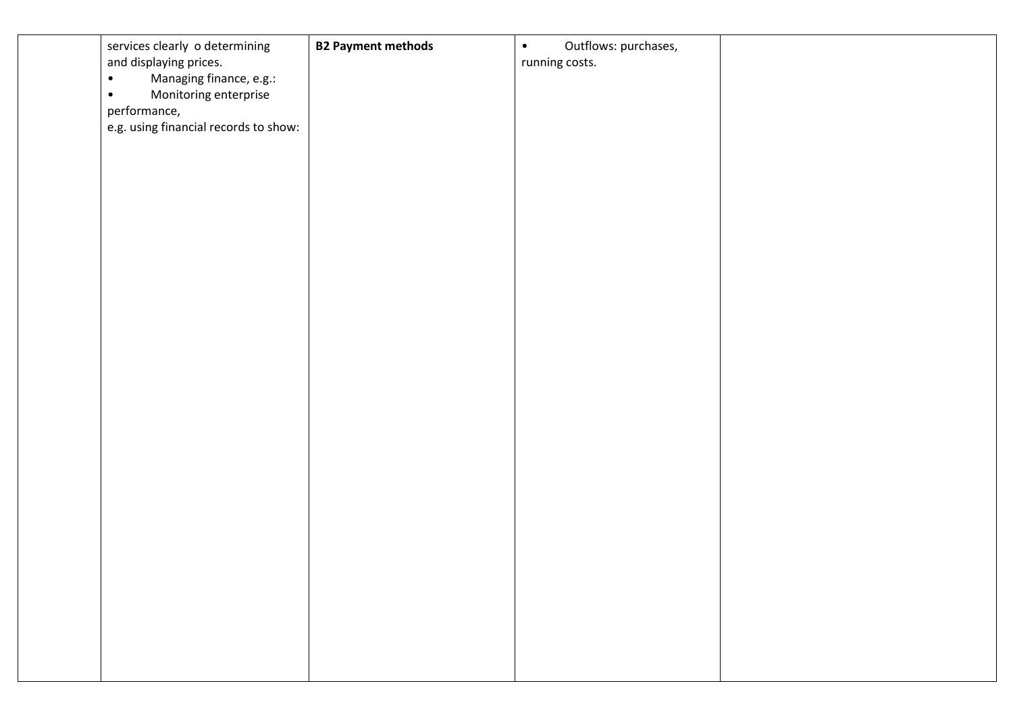| services clearly o determining<br>and displaying prices.<br>Managing finance, e.g.:<br>$\bullet$<br>Monitoring enterprise<br>$\bullet$<br>performance,<br>e.g. using financial records to show: | <b>B2 Payment methods</b> | Outflows: purchases,<br>$\bullet$<br>running costs. |  |
|-------------------------------------------------------------------------------------------------------------------------------------------------------------------------------------------------|---------------------------|-----------------------------------------------------|--|
|                                                                                                                                                                                                 |                           |                                                     |  |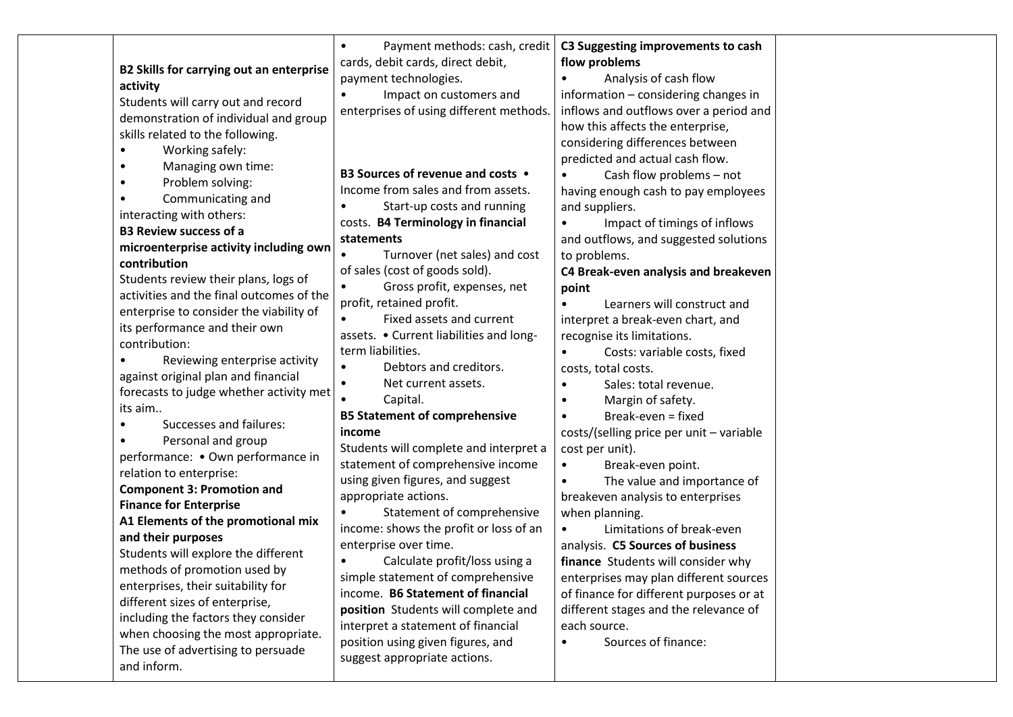| Payment methods: cash, credit<br>C3 Suggesting improvements to cash<br>$\bullet$<br>cards, debit cards, direct debit,<br>flow problems<br>B2 Skills for carrying out an enterprise<br>payment technologies.<br>Analysis of cash flow<br>information - considering changes in<br>Impact on customers and<br>Students will carry out and record<br>enterprises of using different methods.<br>inflows and outflows over a period and<br>demonstration of individual and group<br>how this affects the enterprise,<br>skills related to the following.<br>considering differences between<br>predicted and actual cash flow.<br>Managing own time:<br>B3 Sources of revenue and costs .<br>Cash flow problems - not<br>Problem solving:<br>Income from sales and from assets.<br>having enough cash to pay employees<br>Communicating and<br>Start-up costs and running<br>and suppliers.<br>costs. B4 Terminology in financial<br>Impact of timings of inflows<br>statements<br>and outflows, and suggested solutions<br>microenterprise activity including own<br>Turnover (net sales) and cost<br>to problems.<br>of sales (cost of goods sold).<br>C4 Break-even analysis and breakeven<br>Students review their plans, logs of<br>Gross profit, expenses, net<br>$\bullet$<br>point<br>activities and the final outcomes of the<br>profit, retained profit.<br>Learners will construct and<br>enterprise to consider the viability of<br>Fixed assets and current<br>interpret a break-even chart, and<br>its performance and their own<br>assets. • Current liabilities and long-<br>recognise its limitations.<br>term liabilities.<br>Costs: variable costs, fixed<br>Reviewing enterprise activity<br>Debtors and creditors.<br>$\bullet$<br>costs, total costs.<br>against original plan and financial<br>Net current assets.<br>Sales: total revenue.<br>$\bullet$<br>forecasts to judge whether activity met<br>Capital.<br>Margin of safety.<br><b>B5 Statement of comprehensive</b><br>Break-even = fixed<br>Successes and failures:<br>income<br>costs/(selling price per unit - variable<br>Personal and group<br>Students will complete and interpret a<br>cost per unit).<br>performance: • Own performance in<br>statement of comprehensive income<br>Break-even point.<br>$\bullet$<br>using given figures, and suggest<br>The value and importance of<br><b>Component 3: Promotion and</b><br>appropriate actions.<br>breakeven analysis to enterprises<br>Statement of comprehensive<br>when planning.<br>A1 Elements of the promotional mix<br>income: shows the profit or loss of an<br>Limitations of break-even<br>enterprise over time.<br>analysis. C5 Sources of business<br>Students will explore the different<br>Calculate profit/loss using a<br>finance Students will consider why<br>methods of promotion used by<br>simple statement of comprehensive<br>enterprises may plan different sources<br>enterprises, their suitability for<br>income. B6 Statement of financial<br>of finance for different purposes or at<br>different sizes of enterprise,<br>position Students will complete and<br>different stages and the relevance of<br>including the factors they consider<br>interpret a statement of financial<br>each source.<br>when choosing the most appropriate.<br>position using given figures, and<br>Sources of finance:<br>$\bullet$<br>The use of advertising to persuade<br>suggest appropriate actions. |  |
|-------------------------------------------------------------------------------------------------------------------------------------------------------------------------------------------------------------------------------------------------------------------------------------------------------------------------------------------------------------------------------------------------------------------------------------------------------------------------------------------------------------------------------------------------------------------------------------------------------------------------------------------------------------------------------------------------------------------------------------------------------------------------------------------------------------------------------------------------------------------------------------------------------------------------------------------------------------------------------------------------------------------------------------------------------------------------------------------------------------------------------------------------------------------------------------------------------------------------------------------------------------------------------------------------------------------------------------------------------------------------------------------------------------------------------------------------------------------------------------------------------------------------------------------------------------------------------------------------------------------------------------------------------------------------------------------------------------------------------------------------------------------------------------------------------------------------------------------------------------------------------------------------------------------------------------------------------------------------------------------------------------------------------------------------------------------------------------------------------------------------------------------------------------------------------------------------------------------------------------------------------------------------------------------------------------------------------------------------------------------------------------------------------------------------------------------------------------------------------------------------------------------------------------------------------------------------------------------------------------------------------------------------------------------------------------------------------------------------------------------------------------------------------------------------------------------------------------------------------------------------------------------------------------------------------------------------------------------------------------------------------------------------------------------------------------------------------------------------------------------------------------------------------------------------------------------------------------------------------------------------------------------------------------------------------------------------------------------------------------------------------------------------------------------------------------------------------------|--|
|-------------------------------------------------------------------------------------------------------------------------------------------------------------------------------------------------------------------------------------------------------------------------------------------------------------------------------------------------------------------------------------------------------------------------------------------------------------------------------------------------------------------------------------------------------------------------------------------------------------------------------------------------------------------------------------------------------------------------------------------------------------------------------------------------------------------------------------------------------------------------------------------------------------------------------------------------------------------------------------------------------------------------------------------------------------------------------------------------------------------------------------------------------------------------------------------------------------------------------------------------------------------------------------------------------------------------------------------------------------------------------------------------------------------------------------------------------------------------------------------------------------------------------------------------------------------------------------------------------------------------------------------------------------------------------------------------------------------------------------------------------------------------------------------------------------------------------------------------------------------------------------------------------------------------------------------------------------------------------------------------------------------------------------------------------------------------------------------------------------------------------------------------------------------------------------------------------------------------------------------------------------------------------------------------------------------------------------------------------------------------------------------------------------------------------------------------------------------------------------------------------------------------------------------------------------------------------------------------------------------------------------------------------------------------------------------------------------------------------------------------------------------------------------------------------------------------------------------------------------------------------------------------------------------------------------------------------------------------------------------------------------------------------------------------------------------------------------------------------------------------------------------------------------------------------------------------------------------------------------------------------------------------------------------------------------------------------------------------------------------------------------------------------------------------------------------------------------|--|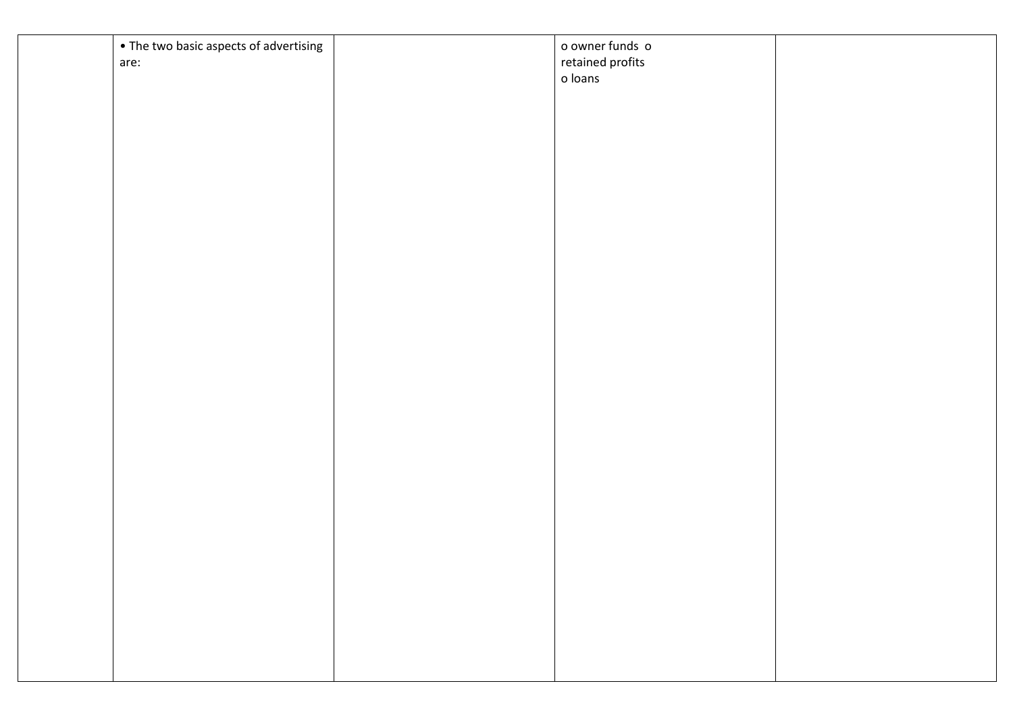| • The two basic aspects of advertising<br>are: | o owner funds o<br>retained profits<br>o loans |  |
|------------------------------------------------|------------------------------------------------|--|
|                                                |                                                |  |
|                                                |                                                |  |
|                                                |                                                |  |
|                                                |                                                |  |
|                                                |                                                |  |
|                                                |                                                |  |
|                                                |                                                |  |
|                                                |                                                |  |
|                                                |                                                |  |
|                                                |                                                |  |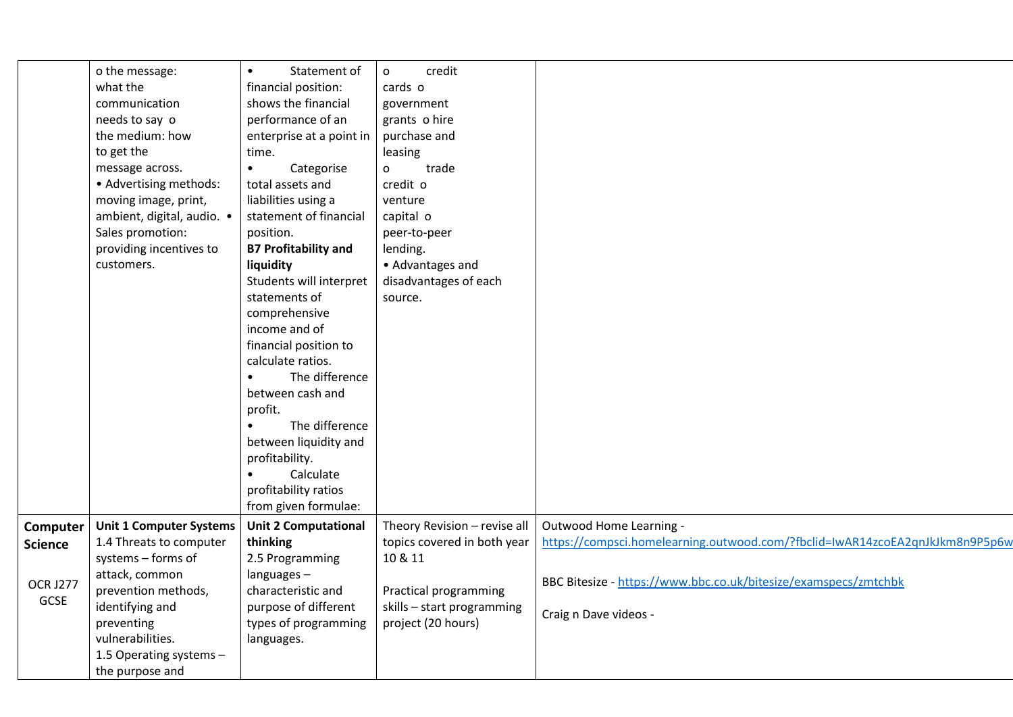|                         | o the message:<br>what the<br>communication<br>needs to say o<br>the medium: how<br>to get the<br>message across.<br>• Advertising methods:<br>moving image, print,<br>ambient, digital, audio. .<br>Sales promotion:<br>providing incentives to<br>customers. | Statement of<br>$\bullet$<br>financial position:<br>shows the financial<br>performance of an<br>enterprise at a point in<br>time.<br>Categorise<br>$\bullet$<br>total assets and<br>liabilities using a<br>statement of financial<br>position.<br><b>B7 Profitability and</b><br>liquidity<br>Students will interpret<br>statements of<br>comprehensive<br>income and of<br>financial position to<br>calculate ratios.<br>The difference<br>between cash and<br>profit.<br>The difference<br>$\bullet$<br>between liquidity and<br>profitability.<br>Calculate<br>profitability ratios | credit<br>0<br>cards o<br>government<br>grants o hire<br>purchase and<br>leasing<br>trade<br>0<br>credit o<br>venture<br>capital o<br>peer-to-peer<br>lending.<br>• Advantages and<br>disadvantages of each<br>source. |                                                                                          |
|-------------------------|----------------------------------------------------------------------------------------------------------------------------------------------------------------------------------------------------------------------------------------------------------------|----------------------------------------------------------------------------------------------------------------------------------------------------------------------------------------------------------------------------------------------------------------------------------------------------------------------------------------------------------------------------------------------------------------------------------------------------------------------------------------------------------------------------------------------------------------------------------------|------------------------------------------------------------------------------------------------------------------------------------------------------------------------------------------------------------------------|------------------------------------------------------------------------------------------|
| Computer                | <b>Unit 1 Computer Systems</b>                                                                                                                                                                                                                                 | from given formulae:<br><b>Unit 2 Computational</b>                                                                                                                                                                                                                                                                                                                                                                                                                                                                                                                                    | Theory Revision - revise all                                                                                                                                                                                           | Outwood Home Learning -                                                                  |
| <b>Science</b>          | 1.4 Threats to computer                                                                                                                                                                                                                                        | thinking                                                                                                                                                                                                                                                                                                                                                                                                                                                                                                                                                                               | topics covered in both year                                                                                                                                                                                            | https://compsci.homelearning.outwood.com/?fbclid=IwAR14zcoEA2qnJkJkm8n9P5p6w             |
|                         | systems - forms of                                                                                                                                                                                                                                             | 2.5 Programming                                                                                                                                                                                                                                                                                                                                                                                                                                                                                                                                                                        | 10 & 11                                                                                                                                                                                                                |                                                                                          |
| <b>OCR J277</b><br>GCSE | attack, common<br>prevention methods,<br>identifying and                                                                                                                                                                                                       | languages-<br>characteristic and<br>purpose of different                                                                                                                                                                                                                                                                                                                                                                                                                                                                                                                               | Practical programming<br>skills - start programming                                                                                                                                                                    | BBC Bitesize - https://www.bbc.co.uk/bitesize/examspecs/zmtchbk<br>Craig n Dave videos - |
|                         | preventing<br>vulnerabilities.<br>1.5 Operating systems -                                                                                                                                                                                                      | types of programming<br>languages.                                                                                                                                                                                                                                                                                                                                                                                                                                                                                                                                                     | project (20 hours)                                                                                                                                                                                                     |                                                                                          |
|                         | the purpose and                                                                                                                                                                                                                                                |                                                                                                                                                                                                                                                                                                                                                                                                                                                                                                                                                                                        |                                                                                                                                                                                                                        |                                                                                          |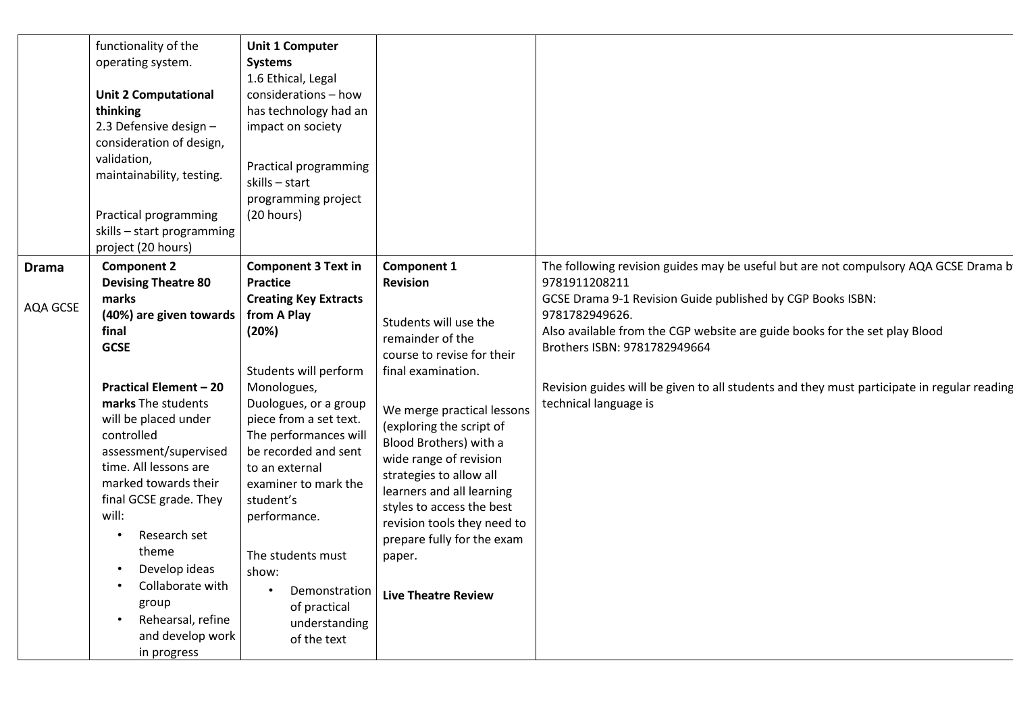|                          | functionality of the<br>operating system.<br><b>Unit 2 Computational</b><br>thinking<br>2.3 Defensive design -<br>consideration of design,<br>validation,<br>maintainability, testing.<br>Practical programming<br>skills - start programming<br>project (20 hours)                                                                                                                                                                                                                          | <b>Unit 1 Computer</b><br><b>Systems</b><br>1.6 Ethical, Legal<br>considerations - how<br>has technology had an<br>impact on society<br>Practical programming<br>skills - start<br>programming project<br>(20 hours)                                                                                                                                                                                                                 |                                                                                                                                                                                                                                                                                                                                                                                                                                         |                                                                                                                                                                                                                                                                                                                                                                                                                           |
|--------------------------|----------------------------------------------------------------------------------------------------------------------------------------------------------------------------------------------------------------------------------------------------------------------------------------------------------------------------------------------------------------------------------------------------------------------------------------------------------------------------------------------|--------------------------------------------------------------------------------------------------------------------------------------------------------------------------------------------------------------------------------------------------------------------------------------------------------------------------------------------------------------------------------------------------------------------------------------|-----------------------------------------------------------------------------------------------------------------------------------------------------------------------------------------------------------------------------------------------------------------------------------------------------------------------------------------------------------------------------------------------------------------------------------------|---------------------------------------------------------------------------------------------------------------------------------------------------------------------------------------------------------------------------------------------------------------------------------------------------------------------------------------------------------------------------------------------------------------------------|
| <b>Drama</b><br>AQA GCSE | <b>Component 2</b><br><b>Devising Theatre 80</b><br>marks<br>(40%) are given towards<br>final<br><b>GCSE</b><br><b>Practical Element - 20</b><br>marks The students<br>will be placed under<br>controlled<br>assessment/supervised<br>time. All lessons are<br>marked towards their<br>final GCSE grade. They<br>will:<br>Research set<br>$\bullet$<br>theme<br>Develop ideas<br>$\bullet$<br>Collaborate with<br>group<br>Rehearsal, refine<br>$\bullet$<br>and develop work<br>in progress | <b>Component 3 Text in</b><br><b>Practice</b><br><b>Creating Key Extracts</b><br>from A Play<br>(20%)<br>Students will perform<br>Monologues,<br>Duologues, or a group<br>piece from a set text.<br>The performances will<br>be recorded and sent<br>to an external<br>examiner to mark the<br>student's<br>performance.<br>The students must<br>show:<br>Demonstration<br>$\bullet$<br>of practical<br>understanding<br>of the text | Component 1<br><b>Revision</b><br>Students will use the<br>remainder of the<br>course to revise for their<br>final examination.<br>We merge practical lessons<br>(exploring the script of<br>Blood Brothers) with a<br>wide range of revision<br>strategies to allow all<br>learners and all learning<br>styles to access the best<br>revision tools they need to<br>prepare fully for the exam<br>paper.<br><b>Live Theatre Review</b> | The following revision guides may be useful but are not compulsory AQA GCSE Drama b<br>9781911208211<br>GCSE Drama 9-1 Revision Guide published by CGP Books ISBN:<br>9781782949626.<br>Also available from the CGP website are guide books for the set play Blood<br>Brothers ISBN: 9781782949664<br>Revision guides will be given to all students and they must participate in regular reading<br>technical language is |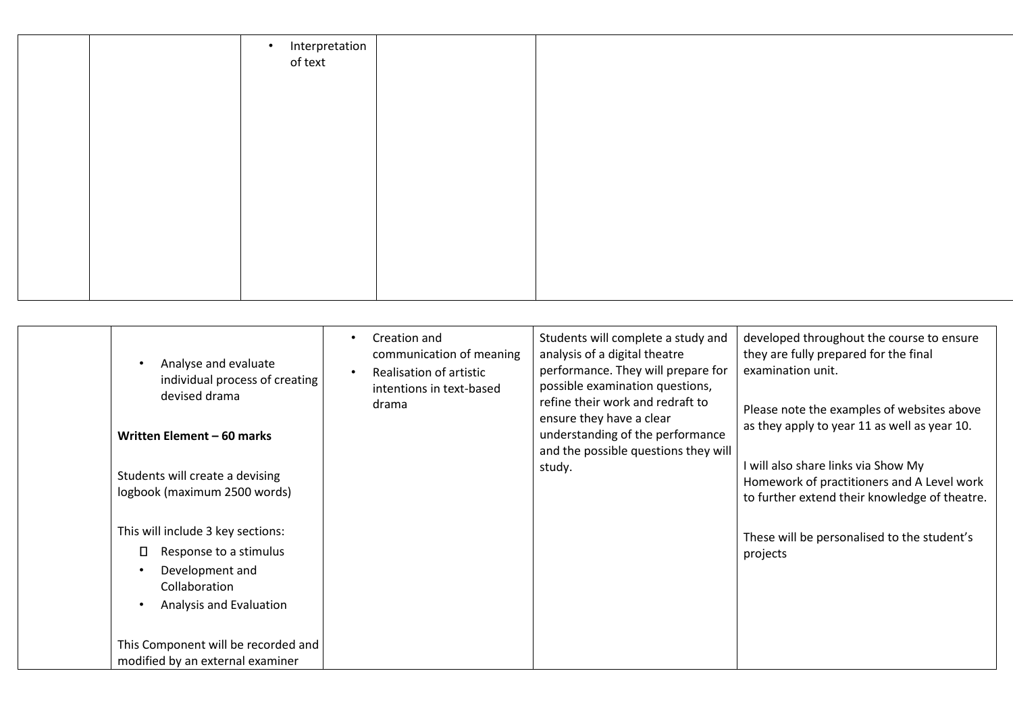|  | Interpretation<br>$\bullet$<br>of text |  |  |
|--|----------------------------------------|--|--|
|  |                                        |  |  |
|  |                                        |  |  |
|  |                                        |  |  |
|  |                                        |  |  |
|  |                                        |  |  |
|  |                                        |  |  |

| Analyse and evaluate<br>individual process of creating<br>devised drama<br>Written Element - 60 marks                      | Creation and<br>communication of meaning<br>Realisation of artistic<br>intentions in text-based<br>drama | Students will complete a study and<br>analysis of a digital theatre<br>performance. They will prepare for<br>possible examination questions,<br>refine their work and redraft to<br>ensure they have a clear<br>understanding of the performance<br>and the possible questions they will | developed throughout the course to ensure<br>they are fully prepared for the final<br>examination unit.<br>Please note the examples of websites above<br>as they apply to year 11 as well as year 10. |
|----------------------------------------------------------------------------------------------------------------------------|----------------------------------------------------------------------------------------------------------|------------------------------------------------------------------------------------------------------------------------------------------------------------------------------------------------------------------------------------------------------------------------------------------|-------------------------------------------------------------------------------------------------------------------------------------------------------------------------------------------------------|
| Students will create a devising<br>logbook (maximum 2500 words)                                                            |                                                                                                          | study.                                                                                                                                                                                                                                                                                   | I will also share links via Show My<br>Homework of practitioners and A Level work<br>to further extend their knowledge of theatre.                                                                    |
| This will include 3 key sections:<br>Response to a stimulus<br>Development and<br>Collaboration<br>Analysis and Evaluation |                                                                                                          |                                                                                                                                                                                                                                                                                          | These will be personalised to the student's<br>projects                                                                                                                                               |
| This Component will be recorded and<br>modified by an external examiner                                                    |                                                                                                          |                                                                                                                                                                                                                                                                                          |                                                                                                                                                                                                       |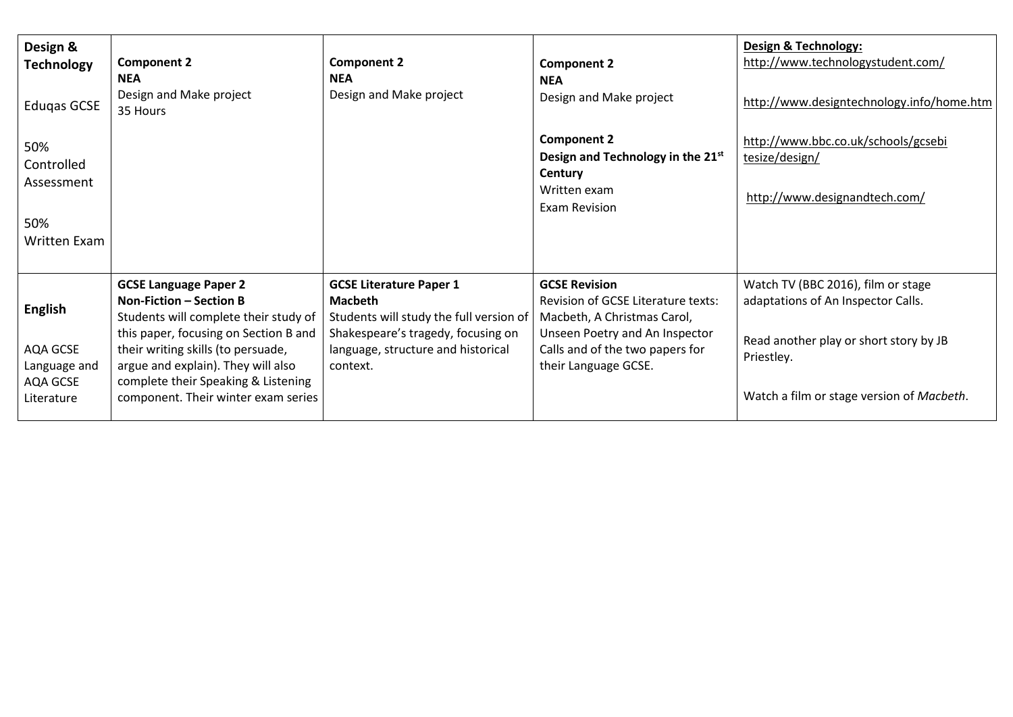| Design &<br><b>Technology</b><br>Edugas GCSE<br>50%<br>Controlled<br>Assessment<br>50%<br>Written Exam | <b>Component 2</b><br><b>NEA</b><br>Design and Make project<br>35 Hours                                                                                                                                                                                                                             | <b>Component 2</b><br><b>NEA</b><br>Design and Make project                                                                                                                         | <b>Component 2</b><br><b>NEA</b><br>Design and Make project<br><b>Component 2</b><br>Design and Technology in the 21 <sup>st</sup><br>Century<br>Written exam<br><b>Exam Revision</b>  | Design & Technology:<br>http://www.technologystudent.com/<br>http://www.designtechnology.info/home.htm<br>http://www.bbc.co.uk/schools/gcsebi<br>tesize/design/<br>http://www.designandtech.com/ |
|--------------------------------------------------------------------------------------------------------|-----------------------------------------------------------------------------------------------------------------------------------------------------------------------------------------------------------------------------------------------------------------------------------------------------|-------------------------------------------------------------------------------------------------------------------------------------------------------------------------------------|----------------------------------------------------------------------------------------------------------------------------------------------------------------------------------------|--------------------------------------------------------------------------------------------------------------------------------------------------------------------------------------------------|
| <b>English</b><br>AQA GCSE<br>Language and<br>AQA GCSE<br>Literature                                   | <b>GCSE Language Paper 2</b><br>Non-Fiction - Section B<br>Students will complete their study of<br>this paper, focusing on Section B and<br>their writing skills (to persuade,<br>argue and explain). They will also<br>complete their Speaking & Listening<br>component. Their winter exam series | <b>GCSE Literature Paper 1</b><br><b>Macbeth</b><br>Students will study the full version of<br>Shakespeare's tragedy, focusing on<br>language, structure and historical<br>context. | <b>GCSE Revision</b><br>Revision of GCSE Literature texts:<br>Macbeth, A Christmas Carol,<br>Unseen Poetry and An Inspector<br>Calls and of the two papers for<br>their Language GCSE. | Watch TV (BBC 2016), film or stage<br>adaptations of An Inspector Calls.<br>Read another play or short story by JB<br>Priestley.<br>Watch a film or stage version of Macbeth.                    |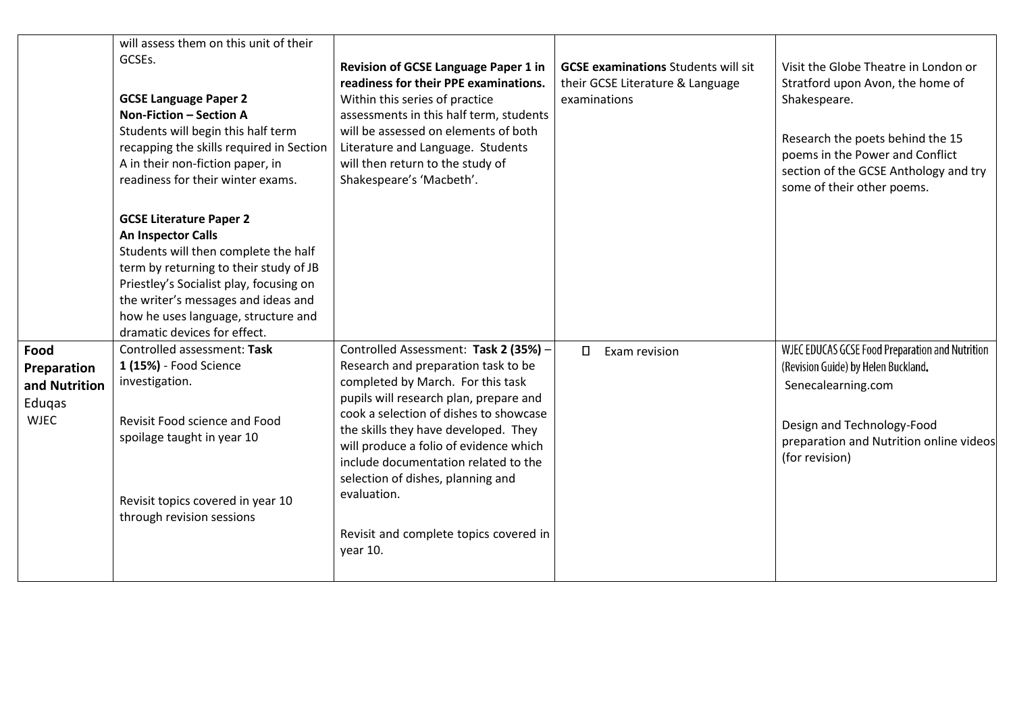|                                                               | will assess them on this unit of their<br>GCSEs.<br><b>GCSE Language Paper 2</b><br>Non-Fiction - Section A<br>Students will begin this half term<br>recapping the skills required in Section<br>A in their non-fiction paper, in<br>readiness for their winter exams.                          | Revision of GCSE Language Paper 1 in<br>readiness for their PPE examinations.<br>Within this series of practice<br>assessments in this half term, students<br>will be assessed on elements of both<br>Literature and Language. Students<br>will then return to the study of<br>Shakespeare's 'Macbeth'.                                                                                                                                   | <b>GCSE examinations Students will sit</b><br>their GCSE Literature & Language<br>examinations | Visit the Globe Theatre in London or<br>Stratford upon Avon, the home of<br>Shakespeare.<br>Research the poets behind the 15<br>poems in the Power and Conflict<br>section of the GCSE Anthology and try<br>some of their other poems. |
|---------------------------------------------------------------|-------------------------------------------------------------------------------------------------------------------------------------------------------------------------------------------------------------------------------------------------------------------------------------------------|-------------------------------------------------------------------------------------------------------------------------------------------------------------------------------------------------------------------------------------------------------------------------------------------------------------------------------------------------------------------------------------------------------------------------------------------|------------------------------------------------------------------------------------------------|----------------------------------------------------------------------------------------------------------------------------------------------------------------------------------------------------------------------------------------|
|                                                               | <b>GCSE Literature Paper 2</b><br>An Inspector Calls<br>Students will then complete the half<br>term by returning to their study of JB<br>Priestley's Socialist play, focusing on<br>the writer's messages and ideas and<br>how he uses language, structure and<br>dramatic devices for effect. |                                                                                                                                                                                                                                                                                                                                                                                                                                           |                                                                                                |                                                                                                                                                                                                                                        |
| Food<br>Preparation<br>and Nutrition<br>Edugas<br><b>WJEC</b> | Controlled assessment: Task<br>1 (15%) - Food Science<br>investigation.<br>Revisit Food science and Food<br>spoilage taught in year 10<br>Revisit topics covered in year 10<br>through revision sessions                                                                                        | Controlled Assessment: Task 2 (35%) -<br>Research and preparation task to be<br>completed by March. For this task<br>pupils will research plan, prepare and<br>cook a selection of dishes to showcase<br>the skills they have developed. They<br>will produce a folio of evidence which<br>include documentation related to the<br>selection of dishes, planning and<br>evaluation.<br>Revisit and complete topics covered in<br>year 10. | $\Box$<br>Exam revision                                                                        | WJEC EDUCAS GCSE Food Preparation and Nutrition<br>(Revision Guide) by Helen Buckland.<br>Senecalearning.com<br>Design and Technology-Food<br>preparation and Nutrition online videos<br>(for revision)                                |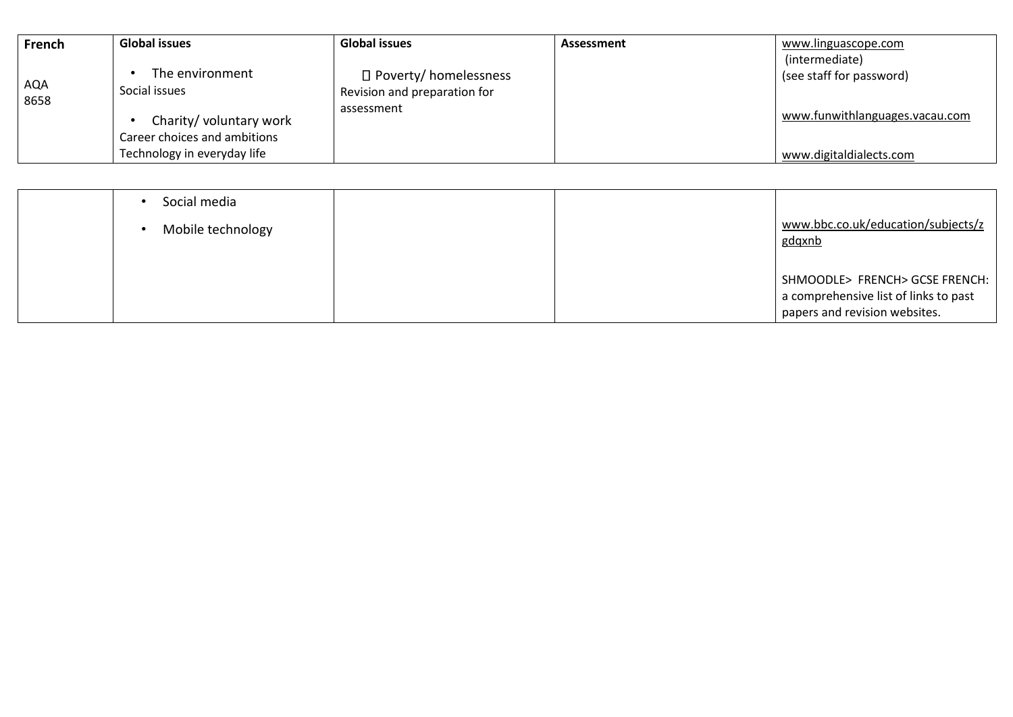| French      | <b>Global issues</b>                                        | <b>Global issues</b>         | Assessment | www.linguascope.com            |
|-------------|-------------------------------------------------------------|------------------------------|------------|--------------------------------|
|             |                                                             |                              |            | (intermediate)                 |
|             | The environment                                             | $\Box$ Poverty/ homelessness |            | (see staff for password)       |
| AQA<br>8658 | Social issues                                               | Revision and preparation for |            |                                |
|             | Charity/ voluntary work                                     | assessment                   |            | www.funwithlanguages.vacau.com |
|             | Career choices and ambitions<br>Technology in everyday life |                              |            | www.digitaldialects.com        |

| Social media<br>Mobile technology |  | www.bbc.co.uk/education/subjects/z<br>gdqxnb                                                             |
|-----------------------------------|--|----------------------------------------------------------------------------------------------------------|
|                                   |  | SHMOODLE> FRENCH> GCSE FRENCH:<br>a comprehensive list of links to past<br>papers and revision websites. |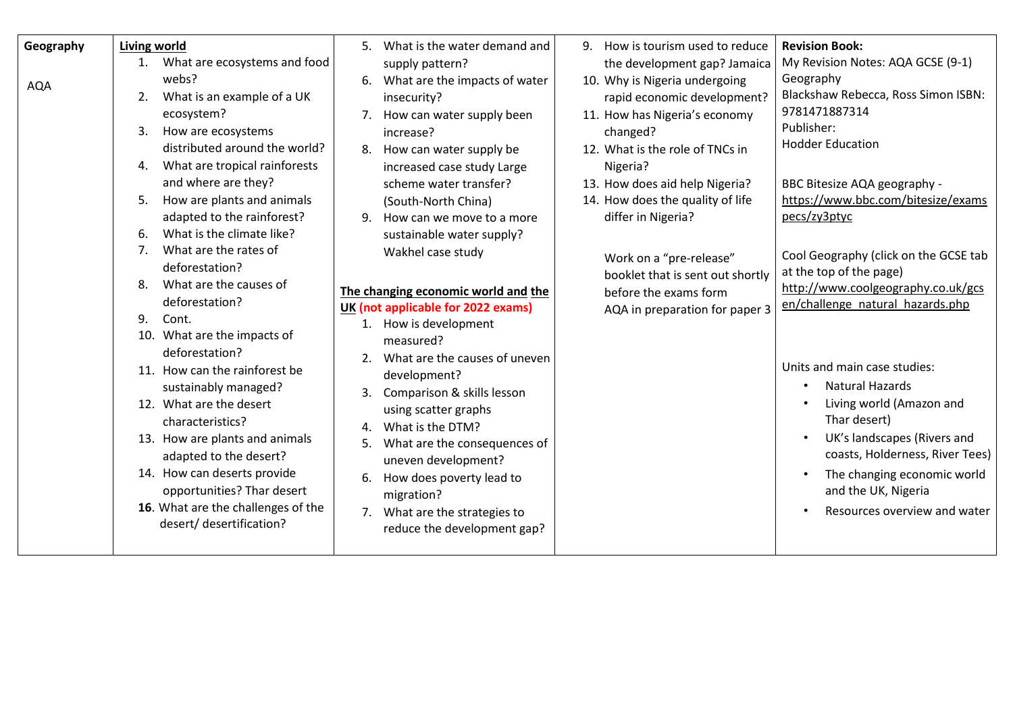| Geography  | <b>Living world</b>                                                                                                                                                                                                                                                                                                                                                                                                                                                                                                                                                                                                                                                                                                                                                                                          | 5. What is the water demand and                                                                                                                                                                                                                                                                                                                                                                                                                                                                                                                                                                                                                                                                                  | 9. How is tourism used to reduce                                                                                                                                                                                                                                                                                                                                                                               | <b>Revision Book:</b>                                                                                                                                                                                                                                                                                                                                                                                                                                                                                                                                                                                                                             |
|------------|--------------------------------------------------------------------------------------------------------------------------------------------------------------------------------------------------------------------------------------------------------------------------------------------------------------------------------------------------------------------------------------------------------------------------------------------------------------------------------------------------------------------------------------------------------------------------------------------------------------------------------------------------------------------------------------------------------------------------------------------------------------------------------------------------------------|------------------------------------------------------------------------------------------------------------------------------------------------------------------------------------------------------------------------------------------------------------------------------------------------------------------------------------------------------------------------------------------------------------------------------------------------------------------------------------------------------------------------------------------------------------------------------------------------------------------------------------------------------------------------------------------------------------------|----------------------------------------------------------------------------------------------------------------------------------------------------------------------------------------------------------------------------------------------------------------------------------------------------------------------------------------------------------------------------------------------------------------|---------------------------------------------------------------------------------------------------------------------------------------------------------------------------------------------------------------------------------------------------------------------------------------------------------------------------------------------------------------------------------------------------------------------------------------------------------------------------------------------------------------------------------------------------------------------------------------------------------------------------------------------------|
| <b>AQA</b> | What are ecosystems and food<br>1.<br>webs?<br>What is an example of a UK<br>2.<br>ecosystem?<br>How are ecosystems<br>3.<br>distributed around the world?<br>What are tropical rainforests<br>4.<br>and where are they?<br>How are plants and animals<br>5.<br>adapted to the rainforest?<br>What is the climate like?<br>6.<br>What are the rates of<br>7.<br>deforestation?<br>What are the causes of<br>8.<br>deforestation?<br>$Q_{\perp}$<br>Cont.<br>10. What are the impacts of<br>deforestation?<br>11. How can the rainforest be<br>sustainably managed?<br>12. What are the desert<br>characteristics?<br>13. How are plants and animals<br>adapted to the desert?<br>14. How can deserts provide<br>opportunities? Thar desert<br>16. What are the challenges of the<br>desert/ desertification? | supply pattern?<br>6. What are the impacts of water<br>insecurity?<br>How can water supply been<br>7.<br>increase?<br>8. How can water supply be<br>increased case study Large<br>scheme water transfer?<br>(South-North China)<br>How can we move to a more<br>9.<br>sustainable water supply?<br>Wakhel case study<br>The changing economic world and the<br>UK (not applicable for 2022 exams)<br>1. How is development<br>measured?<br>2. What are the causes of uneven<br>development?<br>Comparison & skills lesson<br>using scatter graphs<br>4. What is the DTM?<br>What are the consequences of<br>5.<br>uneven development?<br>How does poverty lead to<br>migration?<br>7. What are the strategies to | the development gap? Jamaica<br>10. Why is Nigeria undergoing<br>rapid economic development?<br>11. How has Nigeria's economy<br>changed?<br>12. What is the role of TNCs in<br>Nigeria?<br>13. How does aid help Nigeria?<br>14. How does the quality of life<br>differ in Nigeria?<br>Work on a "pre-release"<br>booklet that is sent out shortly<br>before the exams form<br>AQA in preparation for paper 3 | My Revision Notes: AQA GCSE (9-1)<br>Geography<br>Blackshaw Rebecca, Ross Simon ISBN:<br>9781471887314<br>Publisher:<br><b>Hodder Education</b><br>BBC Bitesize AQA geography -<br>https://www.bbc.com/bitesize/exams<br>pecs/zy3ptyc<br>Cool Geography (click on the GCSE tab<br>at the top of the page)<br>http://www.coolgeography.co.uk/gcs<br>en/challenge natural hazards.php<br>Units and main case studies:<br><b>Natural Hazards</b><br>Living world (Amazon and<br>Thar desert)<br>UK's landscapes (Rivers and<br>coasts, Holderness, River Tees)<br>The changing economic world<br>and the UK, Nigeria<br>Resources overview and water |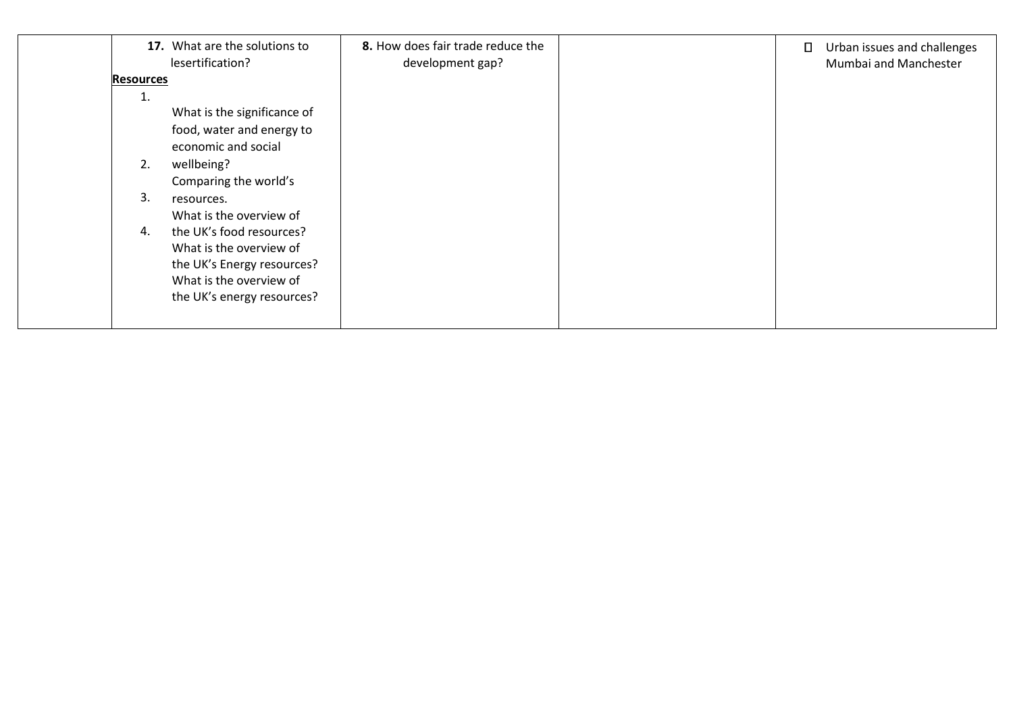|                  | 17. What are the solutions to<br>lesertification? | 8. How does fair trade reduce the<br>development gap? | $\Box$ | Urban issues and challenges<br>Mumbai and Manchester |
|------------------|---------------------------------------------------|-------------------------------------------------------|--------|------------------------------------------------------|
| <b>Resources</b> |                                                   |                                                       |        |                                                      |
| 1.               |                                                   |                                                       |        |                                                      |
|                  | What is the significance of                       |                                                       |        |                                                      |
|                  | food, water and energy to                         |                                                       |        |                                                      |
|                  | economic and social                               |                                                       |        |                                                      |
| 2.               | wellbeing?                                        |                                                       |        |                                                      |
|                  | Comparing the world's                             |                                                       |        |                                                      |
| 3.               | resources.                                        |                                                       |        |                                                      |
|                  | What is the overview of                           |                                                       |        |                                                      |
| 4.               | the UK's food resources?                          |                                                       |        |                                                      |
|                  | What is the overview of                           |                                                       |        |                                                      |
|                  | the UK's Energy resources?                        |                                                       |        |                                                      |
|                  | What is the overview of                           |                                                       |        |                                                      |
|                  | the UK's energy resources?                        |                                                       |        |                                                      |
|                  |                                                   |                                                       |        |                                                      |
|                  |                                                   |                                                       |        |                                                      |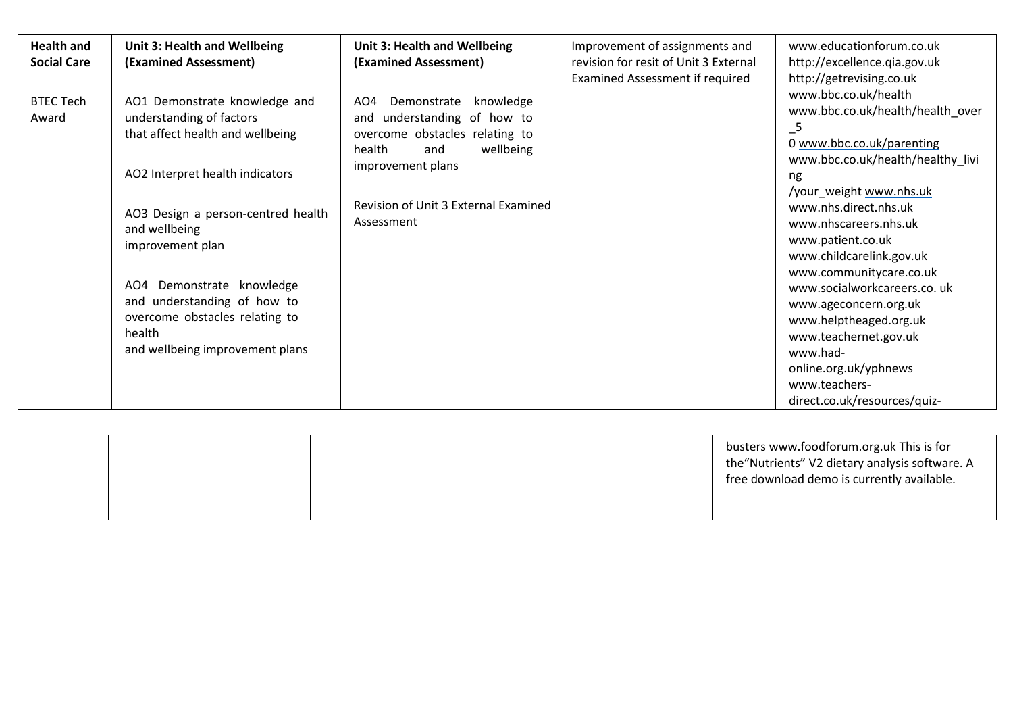| <b>Health and</b><br><b>Social Care</b> | Unit 3: Health and Wellbeing<br>(Examined Assessment)                                                                                                                                                                                                                                                                                                  | Unit 3: Health and Wellbeing<br>(Examined Assessment)                                                                                                                                                     | Improvement of assignments and<br>revision for resit of Unit 3 External<br>Examined Assessment if required | www.educationforum.co.uk<br>http://excellence.qia.gov.uk<br>http://getrevising.co.uk                                                                                                                                                                                                                                                                                                                                                                                                                |
|-----------------------------------------|--------------------------------------------------------------------------------------------------------------------------------------------------------------------------------------------------------------------------------------------------------------------------------------------------------------------------------------------------------|-----------------------------------------------------------------------------------------------------------------------------------------------------------------------------------------------------------|------------------------------------------------------------------------------------------------------------|-----------------------------------------------------------------------------------------------------------------------------------------------------------------------------------------------------------------------------------------------------------------------------------------------------------------------------------------------------------------------------------------------------------------------------------------------------------------------------------------------------|
| <b>BTEC Tech</b><br>Award               | AO1 Demonstrate knowledge and<br>understanding of factors<br>that affect health and wellbeing<br>AO2 Interpret health indicators<br>AO3 Design a person-centred health<br>and wellbeing<br>improvement plan<br>AO4 Demonstrate knowledge<br>and understanding of how to<br>overcome obstacles relating to<br>health<br>and wellbeing improvement plans | AO4<br>Demonstrate<br>knowledge<br>and understanding of how to<br>overcome obstacles relating to<br>wellbeing<br>health<br>and<br>improvement plans<br>Revision of Unit 3 External Examined<br>Assessment |                                                                                                            | www.bbc.co.uk/health<br>www.bbc.co.uk/health/health over<br>$-5$<br>0 www.bbc.co.uk/parenting<br>www.bbc.co.uk/health/healthy_livi<br>ng<br>/your_weight www.nhs.uk<br>www.nhs.direct.nhs.uk<br>www.nhscareers.nhs.uk<br>www.patient.co.uk<br>www.childcarelink.gov.uk<br>www.communitycare.co.uk<br>www.socialworkcareers.co. uk<br>www.ageconcern.org.uk<br>www.helptheaged.org.uk<br>www.teachernet.gov.uk<br>www.had-<br>online.org.uk/yphnews<br>www.teachers-<br>direct.co.uk/resources/quiz- |

|  |  | busters www.foodforum.org.uk This is for<br>the "Nutrients" V2 dietary analysis software. A<br>free download demo is currently available. |
|--|--|-------------------------------------------------------------------------------------------------------------------------------------------|
|  |  |                                                                                                                                           |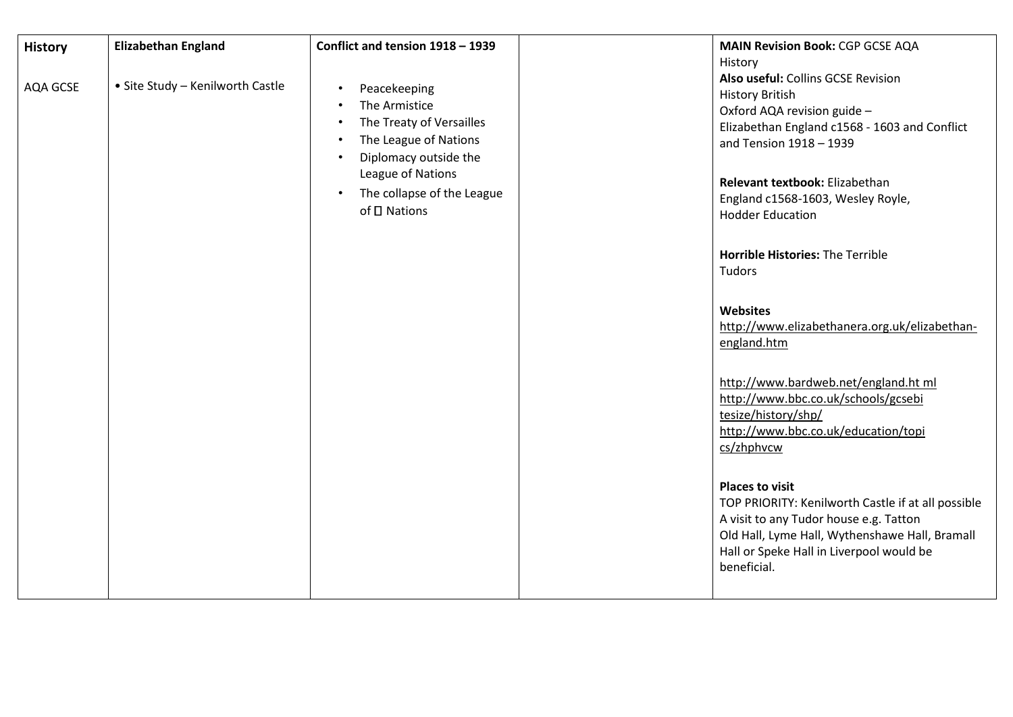| <b>History</b> | <b>Elizabethan England</b><br>• Site Study - Kenilworth Castle | Conflict and tension 1918 - 1939                                                                                                                                                                                                                             | <b>MAIN Revision Book: CGP GCSE AQA</b><br>History<br>Also useful: Collins GCSE Revision                                                                                                                                                                                                                                                                                                                                                                                                                                                                                                                                                                                                                                                                        |
|----------------|----------------------------------------------------------------|--------------------------------------------------------------------------------------------------------------------------------------------------------------------------------------------------------------------------------------------------------------|-----------------------------------------------------------------------------------------------------------------------------------------------------------------------------------------------------------------------------------------------------------------------------------------------------------------------------------------------------------------------------------------------------------------------------------------------------------------------------------------------------------------------------------------------------------------------------------------------------------------------------------------------------------------------------------------------------------------------------------------------------------------|
| AQA GCSE       |                                                                | Peacekeeping<br>$\bullet$<br>The Armistice<br>$\bullet$<br>The Treaty of Versailles<br>$\bullet$<br>The League of Nations<br>$\bullet$<br>Diplomacy outside the<br>$\bullet$<br>League of Nations<br>The collapse of the League<br>$\bullet$<br>of □ Nations | <b>History British</b><br>Oxford AQA revision guide -<br>Elizabethan England c1568 - 1603 and Conflict<br>and Tension 1918 - 1939<br>Relevant textbook: Elizabethan<br>England c1568-1603, Wesley Royle,<br><b>Hodder Education</b><br>Horrible Histories: The Terrible<br>Tudors<br>Websites<br>http://www.elizabethanera.org.uk/elizabethan-<br>england.htm<br>http://www.bardweb.net/england.ht ml<br>http://www.bbc.co.uk/schools/gcsebi<br>tesize/history/shp/<br>http://www.bbc.co.uk/education/topi<br>cs/zhphvcw<br><b>Places to visit</b><br>TOP PRIORITY: Kenilworth Castle if at all possible<br>A visit to any Tudor house e.g. Tatton<br>Old Hall, Lyme Hall, Wythenshawe Hall, Bramall<br>Hall or Speke Hall in Liverpool would be<br>beneficial. |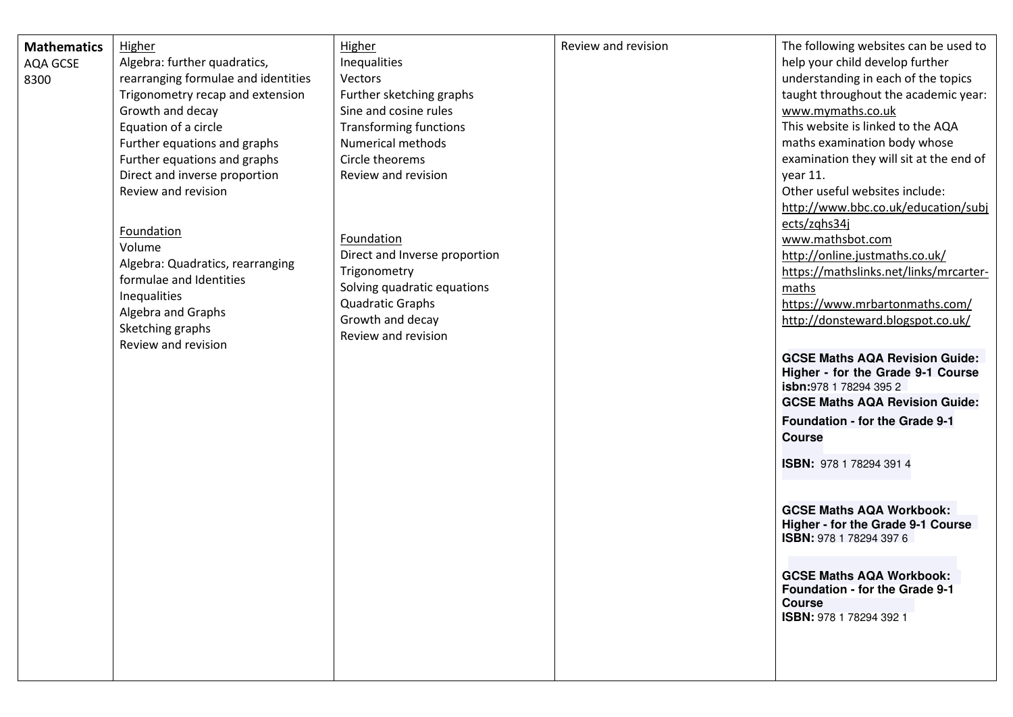| <b>Mathematics</b> | <b>Higher</b>                                               | Higher                        | Review and revision | The following websites can be used to   |
|--------------------|-------------------------------------------------------------|-------------------------------|---------------------|-----------------------------------------|
| <b>AQA GCSE</b>    | Algebra: further quadratics,                                | Inequalities                  |                     | help your child develop further         |
| 8300               | rearranging formulae and identities                         | Vectors                       |                     | understanding in each of the topics     |
|                    | Trigonometry recap and extension                            | Further sketching graphs      |                     | taught throughout the academic year:    |
|                    | Growth and decay                                            | Sine and cosine rules         |                     | www.mymaths.co.uk                       |
|                    | Equation of a circle                                        | <b>Transforming functions</b> |                     | This website is linked to the AQA       |
|                    | Further equations and graphs                                | <b>Numerical methods</b>      |                     | maths examination body whose            |
|                    | Further equations and graphs                                | Circle theorems               |                     | examination they will sit at the end of |
|                    | Direct and inverse proportion                               | Review and revision           |                     | year 11.                                |
|                    | Review and revision                                         |                               |                     | Other useful websites include:          |
|                    |                                                             |                               |                     | http://www.bbc.co.uk/education/subj     |
|                    |                                                             |                               |                     | ects/zqhs34j                            |
|                    | Foundation                                                  | Foundation                    |                     | www.mathsbot.com                        |
|                    | Volume                                                      | Direct and Inverse proportion |                     | http://online.justmaths.co.uk/          |
|                    | Algebra: Quadratics, rearranging<br>formulae and Identities | Trigonometry                  |                     | https://mathslinks.net/links/mrcarter-  |
|                    | Inequalities                                                | Solving quadratic equations   |                     | maths                                   |
|                    | Algebra and Graphs                                          | <b>Quadratic Graphs</b>       |                     | https://www.mrbartonmaths.com/          |
|                    | Sketching graphs                                            | Growth and decay              |                     | http://donsteward.blogspot.co.uk/       |
|                    | Review and revision                                         | Review and revision           |                     |                                         |
|                    |                                                             |                               |                     | <b>GCSE Maths AQA Revision Guide:</b>   |
|                    |                                                             |                               |                     | Higher - for the Grade 9-1 Course       |
|                    |                                                             |                               |                     | <b>isbn:</b> 978 1 78294 395 2          |
|                    |                                                             |                               |                     | <b>GCSE Maths AQA Revision Guide:</b>   |
|                    |                                                             |                               |                     | Foundation - for the Grade 9-1          |
|                    |                                                             |                               |                     | <b>Course</b>                           |
|                    |                                                             |                               |                     | ISBN: 978 1 78294 391 4                 |
|                    |                                                             |                               |                     |                                         |
|                    |                                                             |                               |                     |                                         |
|                    |                                                             |                               |                     | <b>GCSE Maths AQA Workbook:</b>         |
|                    |                                                             |                               |                     | Higher - for the Grade 9-1 Course       |
|                    |                                                             |                               |                     | ISBN: 978 1 78294 397 6                 |
|                    |                                                             |                               |                     |                                         |
|                    |                                                             |                               |                     | <b>GCSE Maths AQA Workbook:</b>         |
|                    |                                                             |                               |                     | <b>Foundation - for the Grade 9-1</b>   |
|                    |                                                             |                               |                     | <b>Course</b>                           |
|                    |                                                             |                               |                     | ISBN: 978 1 78294 392 1                 |
|                    |                                                             |                               |                     |                                         |
|                    |                                                             |                               |                     |                                         |
|                    |                                                             |                               |                     |                                         |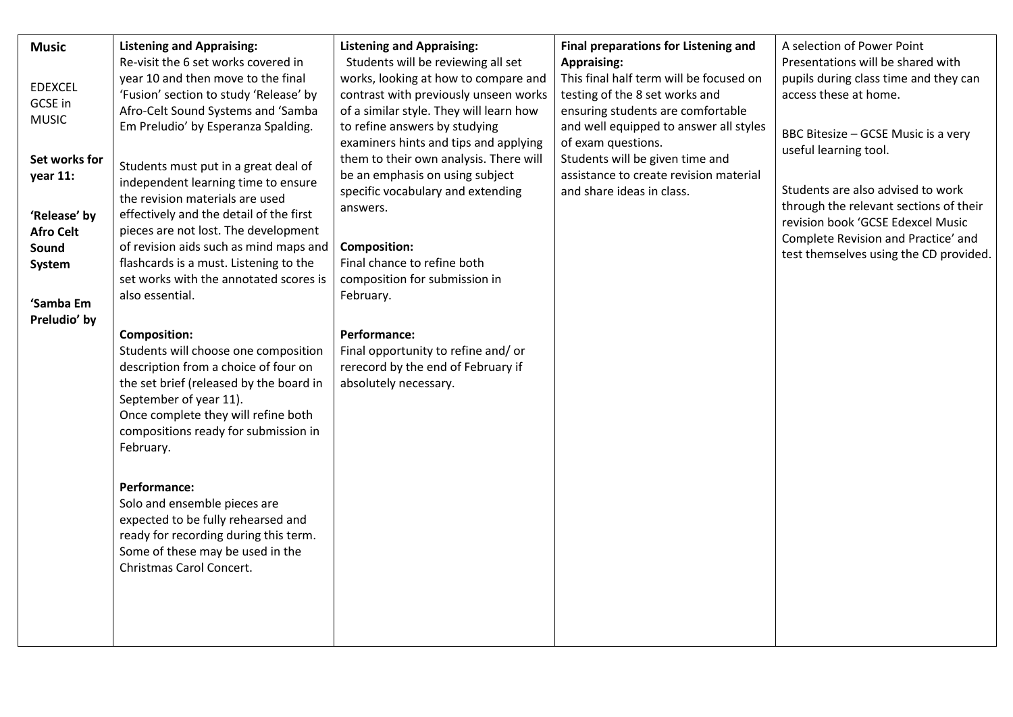| <b>Music</b>     | <b>Listening and Appraising:</b>        | <b>Listening and Appraising:</b>        | Final preparations for Listening and    | A selection of Power Point             |
|------------------|-----------------------------------------|-----------------------------------------|-----------------------------------------|----------------------------------------|
|                  | Re-visit the 6 set works covered in     | Students will be reviewing all set      | <b>Appraising:</b>                      | Presentations will be shared with      |
|                  | year 10 and then move to the final      | works, looking at how to compare and    | This final half term will be focused on | pupils during class time and they can  |
| <b>EDEXCEL</b>   | 'Fusion' section to study 'Release' by  | contrast with previously unseen works   | testing of the 8 set works and          | access these at home.                  |
| GCSE in          | Afro-Celt Sound Systems and 'Samba      | of a similar style. They will learn how | ensuring students are comfortable       |                                        |
| <b>MUSIC</b>     |                                         |                                         |                                         |                                        |
|                  | Em Preludio' by Esperanza Spalding.     | to refine answers by studying           | and well equipped to answer all styles  | BBC Bitesize - GCSE Music is a very    |
|                  |                                         | examiners hints and tips and applying   | of exam questions.                      | useful learning tool.                  |
| Set works for    | Students must put in a great deal of    | them to their own analysis. There will  | Students will be given time and         |                                        |
| year 11:         | independent learning time to ensure     | be an emphasis on using subject         | assistance to create revision material  |                                        |
|                  | the revision materials are used         | specific vocabulary and extending       | and share ideas in class.               | Students are also advised to work      |
|                  |                                         | answers.                                |                                         | through the relevant sections of their |
| 'Release' by     | effectively and the detail of the first |                                         |                                         | revision book 'GCSE Edexcel Music      |
| <b>Afro Celt</b> | pieces are not lost. The development    |                                         |                                         | Complete Revision and Practice' and    |
| Sound            | of revision aids such as mind maps and  | <b>Composition:</b>                     |                                         | test themselves using the CD provided. |
| System           | flashcards is a must. Listening to the  | Final chance to refine both             |                                         |                                        |
|                  | set works with the annotated scores is  | composition for submission in           |                                         |                                        |
|                  | also essential.                         | February.                               |                                         |                                        |
| 'Samba Em        |                                         |                                         |                                         |                                        |
| Preludio' by     |                                         |                                         |                                         |                                        |
|                  | <b>Composition:</b>                     | <b>Performance:</b>                     |                                         |                                        |
|                  | Students will choose one composition    | Final opportunity to refine and/ or     |                                         |                                        |
|                  | description from a choice of four on    | rerecord by the end of February if      |                                         |                                        |
|                  | the set brief (released by the board in | absolutely necessary.                   |                                         |                                        |
|                  | September of year 11).                  |                                         |                                         |                                        |
|                  |                                         |                                         |                                         |                                        |
|                  | Once complete they will refine both     |                                         |                                         |                                        |
|                  | compositions ready for submission in    |                                         |                                         |                                        |
|                  | February.                               |                                         |                                         |                                        |
|                  |                                         |                                         |                                         |                                        |
|                  | <b>Performance:</b>                     |                                         |                                         |                                        |
|                  | Solo and ensemble pieces are            |                                         |                                         |                                        |
|                  |                                         |                                         |                                         |                                        |
|                  | expected to be fully rehearsed and      |                                         |                                         |                                        |
|                  | ready for recording during this term.   |                                         |                                         |                                        |
|                  | Some of these may be used in the        |                                         |                                         |                                        |
|                  | Christmas Carol Concert.                |                                         |                                         |                                        |
|                  |                                         |                                         |                                         |                                        |
|                  |                                         |                                         |                                         |                                        |
|                  |                                         |                                         |                                         |                                        |
|                  |                                         |                                         |                                         |                                        |
|                  |                                         |                                         |                                         |                                        |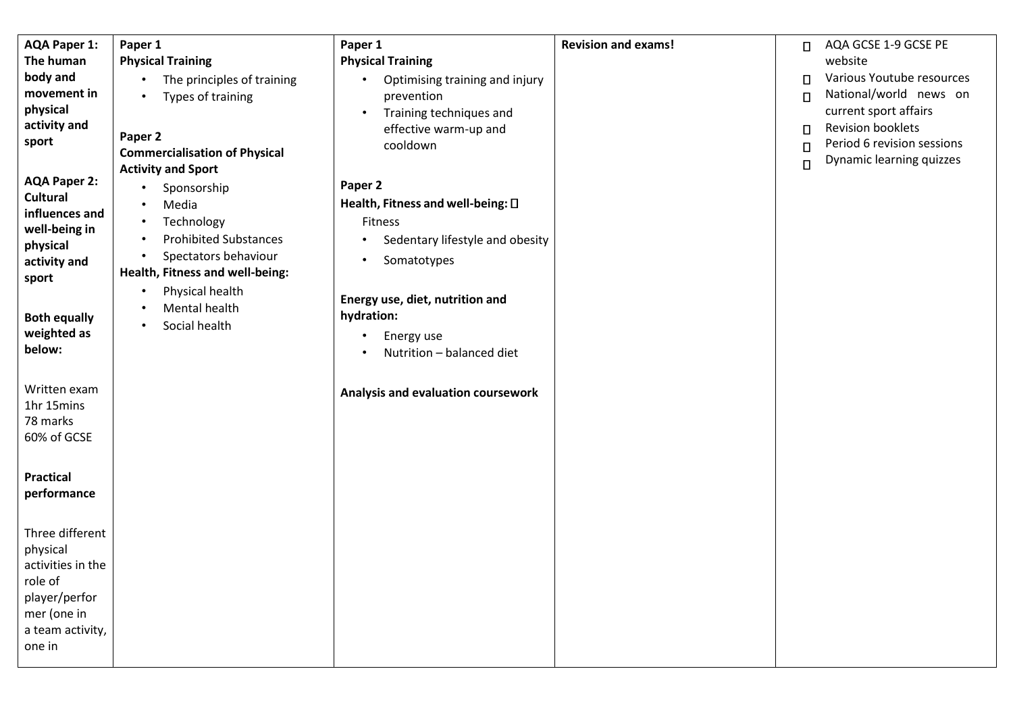| <b>AQA Paper 1:</b>                    | Paper 1                              | Paper 1                                          | <b>Revision and exams!</b> |        | AQA GCSE 1-9 GCSE PE       |
|----------------------------------------|--------------------------------------|--------------------------------------------------|----------------------------|--------|----------------------------|
| The human                              | <b>Physical Training</b>             | <b>Physical Training</b>                         |                            | $\Box$ | website                    |
| body and                               |                                      |                                                  |                            |        | Various Youtube resources  |
| movement in                            | The principles of training           | Optimising training and injury                   |                            | $\Box$ | National/world news on     |
| physical                               | Types of training                    | prevention<br>$\bullet$                          |                            | $\Box$ | current sport affairs      |
| activity and                           |                                      | Training techniques and<br>effective warm-up and |                            | $\Box$ | <b>Revision booklets</b>   |
| sport                                  | Paper 2                              | cooldown                                         |                            |        | Period 6 revision sessions |
|                                        | <b>Commercialisation of Physical</b> |                                                  |                            | $\Box$ | Dynamic learning quizzes   |
|                                        | <b>Activity and Sport</b>            |                                                  |                            | $\Box$ |                            |
| <b>AQA Paper 2:</b><br><b>Cultural</b> | Sponsorship<br>$\bullet$             | Paper 2                                          |                            |        |                            |
| influences and                         | Media                                | Health, Fitness and well-being: $\square$        |                            |        |                            |
| well-being in                          | Technology                           | Fitness                                          |                            |        |                            |
| physical                               | <b>Prohibited Substances</b>         | Sedentary lifestyle and obesity<br>$\bullet$     |                            |        |                            |
| activity and                           | Spectators behaviour                 | Somatotypes<br>$\bullet$                         |                            |        |                            |
| sport                                  | Health, Fitness and well-being:      |                                                  |                            |        |                            |
|                                        | Physical health                      | Energy use, diet, nutrition and                  |                            |        |                            |
| <b>Both equally</b>                    | Mental health                        | hydration:                                       |                            |        |                            |
| weighted as                            | Social health                        |                                                  |                            |        |                            |
| below:                                 |                                      | Energy use                                       |                            |        |                            |
|                                        |                                      | Nutrition - balanced diet                        |                            |        |                            |
|                                        |                                      |                                                  |                            |        |                            |
| Written exam                           |                                      | Analysis and evaluation coursework               |                            |        |                            |
| 1hr 15mins<br>78 marks                 |                                      |                                                  |                            |        |                            |
| 60% of GCSE                            |                                      |                                                  |                            |        |                            |
|                                        |                                      |                                                  |                            |        |                            |
|                                        |                                      |                                                  |                            |        |                            |
| <b>Practical</b>                       |                                      |                                                  |                            |        |                            |
| performance                            |                                      |                                                  |                            |        |                            |
|                                        |                                      |                                                  |                            |        |                            |
| Three different                        |                                      |                                                  |                            |        |                            |
| physical                               |                                      |                                                  |                            |        |                            |
| activities in the                      |                                      |                                                  |                            |        |                            |
| role of                                |                                      |                                                  |                            |        |                            |
| player/perfor                          |                                      |                                                  |                            |        |                            |
| mer (one in                            |                                      |                                                  |                            |        |                            |
| a team activity,                       |                                      |                                                  |                            |        |                            |
| one in                                 |                                      |                                                  |                            |        |                            |
|                                        |                                      |                                                  |                            |        |                            |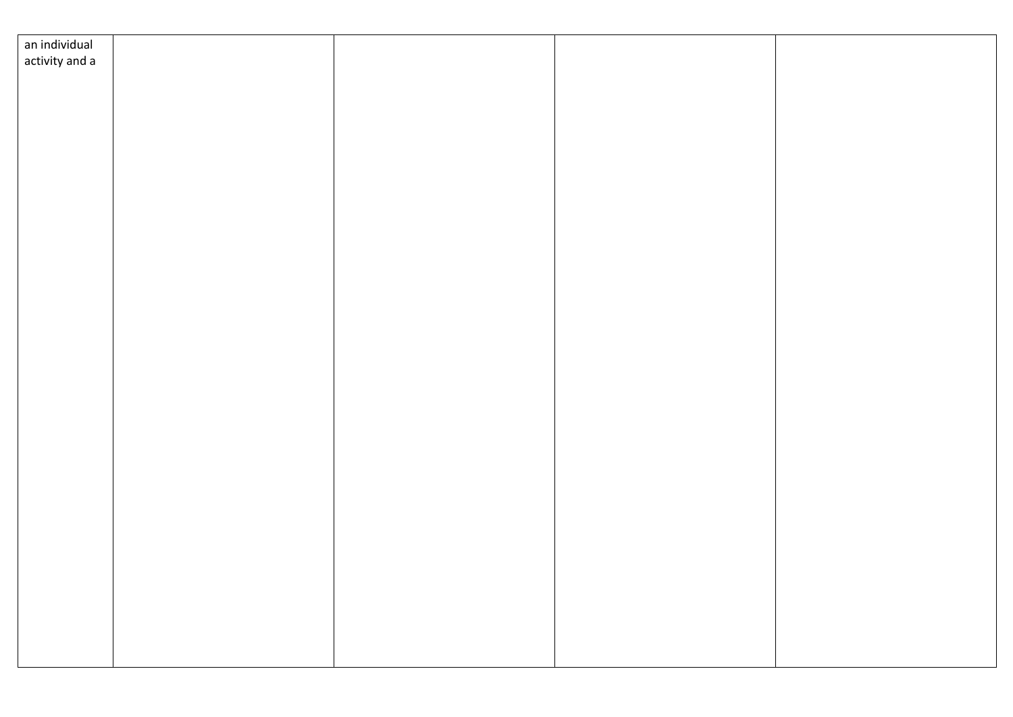| an individual  |  |  |
|----------------|--|--|
| activity and a |  |  |
|                |  |  |
|                |  |  |
|                |  |  |
|                |  |  |
|                |  |  |
|                |  |  |
|                |  |  |
|                |  |  |
|                |  |  |
|                |  |  |
|                |  |  |
|                |  |  |
|                |  |  |
|                |  |  |
|                |  |  |
|                |  |  |
|                |  |  |
|                |  |  |
|                |  |  |
|                |  |  |
|                |  |  |
|                |  |  |
|                |  |  |
|                |  |  |
|                |  |  |
|                |  |  |
|                |  |  |
|                |  |  |
|                |  |  |
|                |  |  |
|                |  |  |
|                |  |  |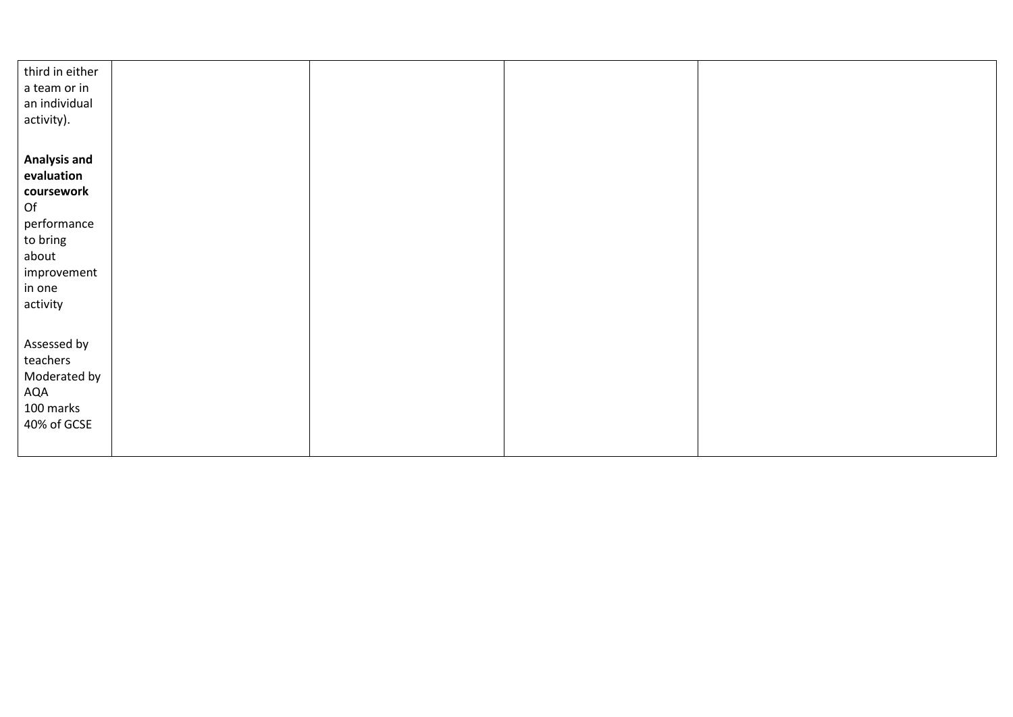| third in either     |  |  |
|---------------------|--|--|
| a team or in        |  |  |
| an individual       |  |  |
| activity).          |  |  |
|                     |  |  |
|                     |  |  |
| <b>Analysis and</b> |  |  |
| evaluation          |  |  |
| coursework          |  |  |
| Of                  |  |  |
| performance         |  |  |
| to bring            |  |  |
| about               |  |  |
| improvement         |  |  |
| in one              |  |  |
| activity            |  |  |
|                     |  |  |
|                     |  |  |
| Assessed by         |  |  |
| teachers            |  |  |
| Moderated by        |  |  |
| AQA                 |  |  |
| 100 marks           |  |  |
| 40% of GCSE         |  |  |
|                     |  |  |
|                     |  |  |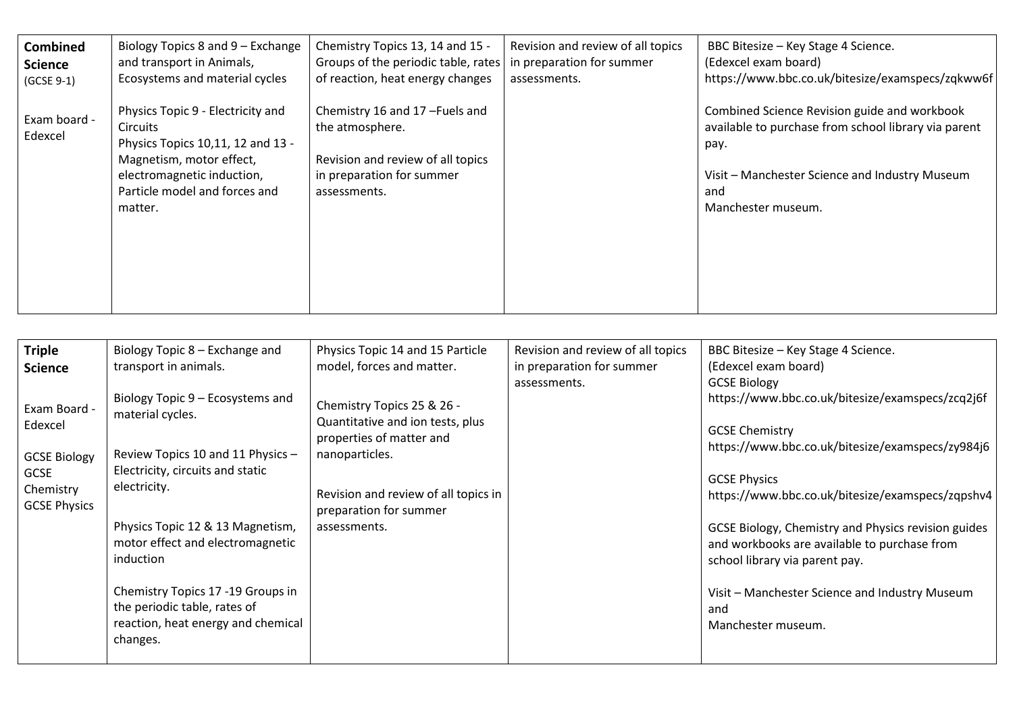| Combined                | Biology Topics 8 and 9 – Exchange                                                                                                                                                        | Chemistry Topics 13, 14 and 15 -                                                                                                   | Revision and review of all topics | BBC Bitesize - Key Stage 4 Science.                                                                                                                                                         |
|-------------------------|------------------------------------------------------------------------------------------------------------------------------------------------------------------------------------------|------------------------------------------------------------------------------------------------------------------------------------|-----------------------------------|---------------------------------------------------------------------------------------------------------------------------------------------------------------------------------------------|
| <b>Science</b>          | and transport in Animals,                                                                                                                                                                | Groups of the periodic table, rates                                                                                                | in preparation for summer         | (Edexcel exam board)                                                                                                                                                                        |
| (GCSE 9-1)              | Ecosystems and material cycles                                                                                                                                                           | of reaction, heat energy changes                                                                                                   | assessments.                      | https://www.bbc.co.uk/bitesize/examspecs/zqkww6f                                                                                                                                            |
| Exam board -<br>Edexcel | Physics Topic 9 - Electricity and<br>Circuits<br>Physics Topics 10,11, 12 and 13 -<br>Magnetism, motor effect,<br>electromagnetic induction,<br>Particle model and forces and<br>matter. | Chemistry 16 and 17-Fuels and<br>the atmosphere.<br>Revision and review of all topics<br>in preparation for summer<br>assessments. |                                   | Combined Science Revision guide and workbook<br>available to purchase from school library via parent<br>pay.<br>Visit – Manchester Science and Industry Museum<br>and<br>Manchester museum. |

| <b>Triple</b><br><b>Science</b>                                                                   | Biology Topic 8 – Exchange and<br>transport in animals.                                                                                                                                                                                                                                                                                                   | Physics Topic 14 and 15 Particle<br>model, forces and matter.                                                                                                                                  | Revision and review of all topics<br>in preparation for summer<br>assessments. | BBC Bitesize - Key Stage 4 Science.<br>(Edexcel exam board)<br><b>GCSE Biology</b>                                                                                                                                                                                                                                                                                                                                               |
|---------------------------------------------------------------------------------------------------|-----------------------------------------------------------------------------------------------------------------------------------------------------------------------------------------------------------------------------------------------------------------------------------------------------------------------------------------------------------|------------------------------------------------------------------------------------------------------------------------------------------------------------------------------------------------|--------------------------------------------------------------------------------|----------------------------------------------------------------------------------------------------------------------------------------------------------------------------------------------------------------------------------------------------------------------------------------------------------------------------------------------------------------------------------------------------------------------------------|
| Exam Board -<br>Edexcel<br><b>GCSE Biology</b><br><b>GCSE</b><br>Chemistry<br><b>GCSE Physics</b> | Biology Topic 9 – Ecosystems and<br>material cycles.<br>Review Topics 10 and 11 Physics -<br>Electricity, circuits and static<br>electricity.<br>Physics Topic 12 & 13 Magnetism,<br>motor effect and electromagnetic<br>induction<br>Chemistry Topics 17 -19 Groups in<br>the periodic table, rates of<br>reaction, heat energy and chemical<br>changes. | Chemistry Topics 25 & 26 -<br>Quantitative and ion tests, plus<br>properties of matter and<br>nanoparticles.<br>Revision and review of all topics in<br>preparation for summer<br>assessments. |                                                                                | https://www.bbc.co.uk/bitesize/examspecs/zcq2j6f<br><b>GCSE Chemistry</b><br>https://www.bbc.co.uk/bitesize/examspecs/zy984j6<br><b>GCSE Physics</b><br>https://www.bbc.co.uk/bitesize/examspecs/zqpshv4<br>GCSE Biology, Chemistry and Physics revision guides<br>and workbooks are available to purchase from<br>school library via parent pay.<br>Visit - Manchester Science and Industry Museum<br>and<br>Manchester museum. |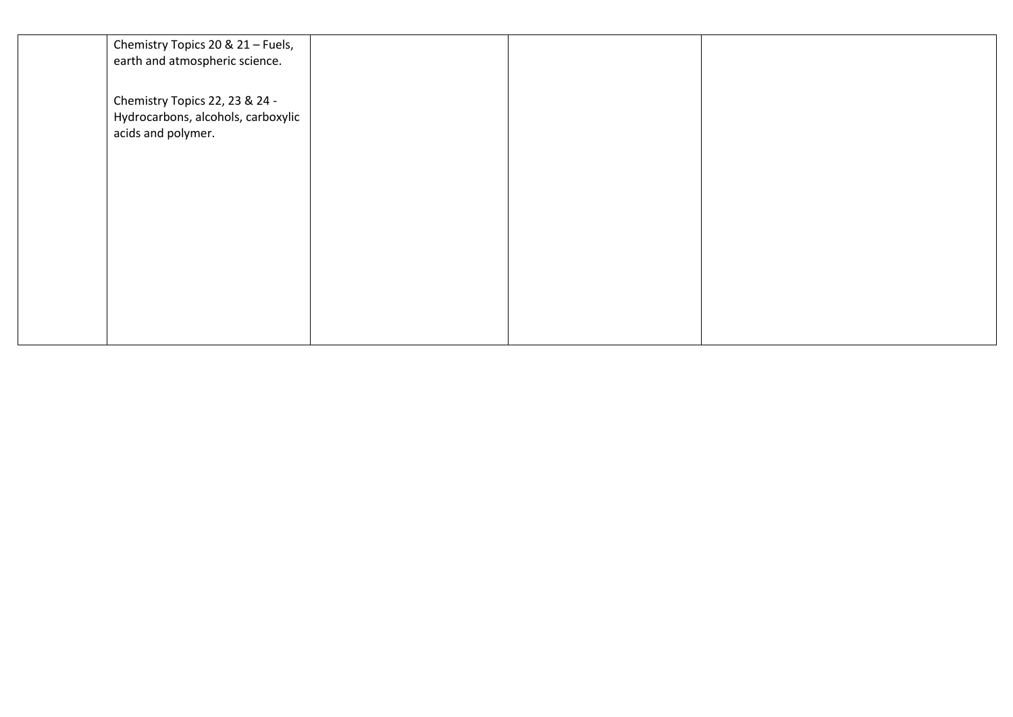| Chemistry Topics 20 & 21 - Fuels,<br>earth and atmospheric science.                        |  |  |
|--------------------------------------------------------------------------------------------|--|--|
| Chemistry Topics 22, 23 & 24 -<br>Hydrocarbons, alcohols, carboxylic<br>acids and polymer. |  |  |
|                                                                                            |  |  |
|                                                                                            |  |  |
|                                                                                            |  |  |
|                                                                                            |  |  |